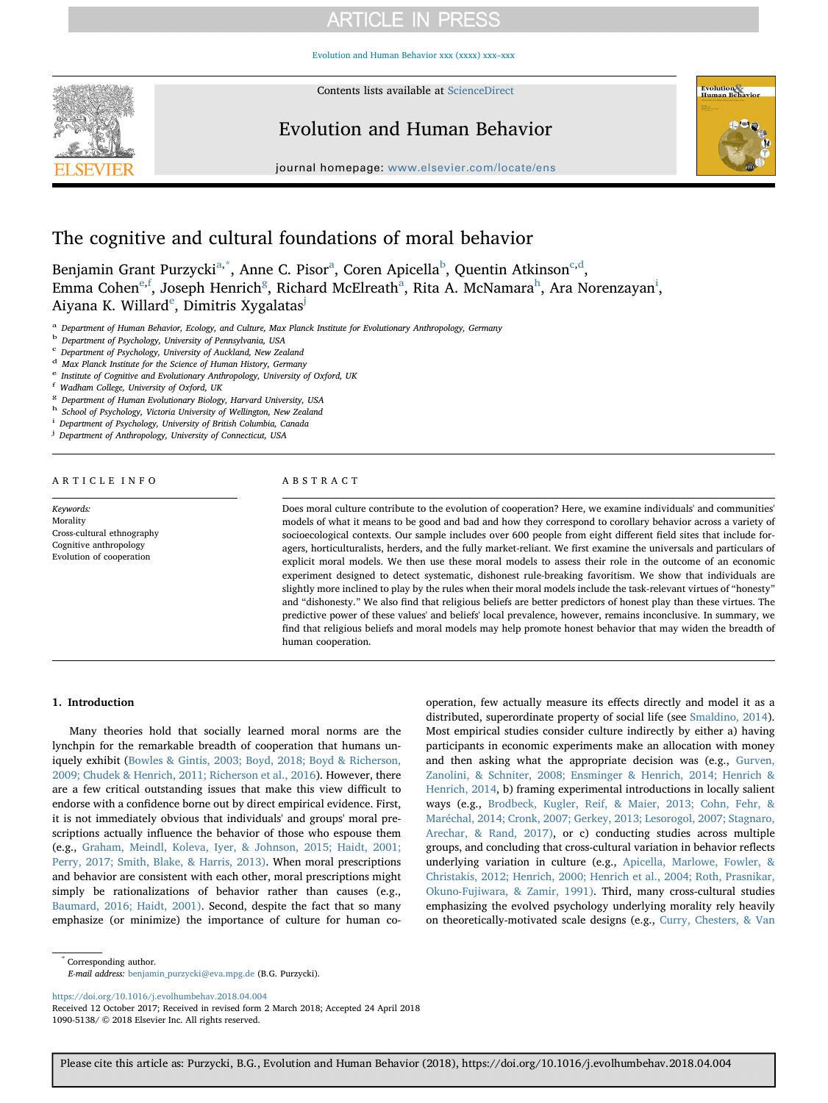[Evolution and Human Behavior xxx \(xxxx\) xxx–xxx](https://doi.org/10.1016/j.evolhumbehav.2018.04.004)



Contents lists available at [ScienceDirect](http://www.sciencedirect.com/science/journal/10905138)

# Evolution and Human Behavior



journal homepage: [www.elsevier.com/locate/ens](https://www.elsevier.com/locate/ens)

# The cognitive and cultural foundations of moral behavior

Benjamin Grant Purzycki<sup>[a,](#page-0-0)[\\*](#page-0-1)</sup>, Anne C. Pisor<sup>[a](#page-0-0)</sup>, Coren Apicella<sup>[b](#page-0-2)</sup>, Quentin Atkinson<sup>[c,](#page-0-3)[d](#page-0-4)</sup>, Emma Coh[e](#page-0-5)n<sup>e[,f](#page-0-6)</sup>, Joseph Henrich<sup>[g](#page-0-7)</sup>, Rich[a](#page-0-0)rd McElreat[h](#page-0-8)<sup>a</sup>, R[i](#page-0-9)ta A. McNamara<sup>h</sup>, Ara Norenzayan<sup>i</sup>, Aiyana K. Willard<sup>[e](#page-0-5)</sup>, Dimitris Xygalatas<sup>[j](#page-0-10)</sup>

<span id="page-0-0"></span>a Department of Human Behavior, Ecology, and Culture, Max Planck Institute for Evolutionary Anthropology, Germany b Department of Psychology, University of Pennsylvania, USA  $^{\rm c}$  Department of Psychology, University of

<span id="page-0-2"></span>

<span id="page-0-3"></span>

<span id="page-0-4"></span>

- <span id="page-0-5"></span>
- <span id="page-0-6"></span>

<span id="page-0-7"></span><sup>8</sup> Department of Human Evolutionary Biology, Harvard University, USA h School of Psychology, Victoria University of Wellington, New Zealand <sup>i</sup> Department of Psychology, University of British Columbia, Canada

<span id="page-0-9"></span><span id="page-0-8"></span>

<span id="page-0-10"></span><sup>j</sup> Department of Anthropology, University of Connecticut, USA

### ARTICLE INFO

Keywords: Morality Cross-cultural ethnography Cognitive anthropology Evolution of cooperation

# ABSTRACT

Does moral culture contribute to the evolution of cooperation? Here, we examine individuals' and communities' models of what it means to be good and bad and how they correspond to corollary behavior across a variety of socioecological contexts. Our sample includes over 600 people from eight different field sites that include foragers, horticulturalists, herders, and the fully market-reliant. We first examine the universals and particulars of explicit moral models. We then use these moral models to assess their role in the outcome of an economic experiment designed to detect systematic, dishonest rule-breaking favoritism. We show that individuals are slightly more inclined to play by the rules when their moral models include the task-relevant virtues of "honesty" and "dishonesty." We also find that religious beliefs are better predictors of honest play than these virtues. The predictive power of these values' and beliefs' local prevalence, however, remains inconclusive. In summary, we find that religious beliefs and moral models may help promote honest behavior that may widen the breadth of human cooperation.

# 1. Introduction

Many theories hold that socially learned moral norms are the lynchpin for the remarkable breadth of cooperation that humans uniquely exhibit [\(Bowles & Gintis, 2003; Boyd, 2018; Boyd & Richerson,](#page-9-0) [2009; Chudek & Henrich, 2011; Richerson et al., 2016](#page-9-0)). However, there are a few critical outstanding issues that make this view difficult to endorse with a confidence borne out by direct empirical evidence. First, it is not immediately obvious that individuals' and groups' moral prescriptions actually influence the behavior of those who espouse them (e.g., [Graham, Meindl, Koleva, Iyer, & Johnson, 2015; Haidt, 2001;](#page-10-0) [Perry, 2017; Smith, Blake, & Harris, 2013\)](#page-10-0). When moral prescriptions and behavior are consistent with each other, moral prescriptions might simply be rationalizations of behavior rather than causes (e.g., [Baumard, 2016; Haidt, 2001\).](#page-9-1) Second, despite the fact that so many emphasize (or minimize) the importance of culture for human cooperation, few actually measure its effects directly and model it as a distributed, superordinate property of social life (see [Smaldino, 2014](#page-10-1)). Most empirical studies consider culture indirectly by either a) having participants in economic experiments make an allocation with money and then asking what the appropriate decision was (e.g., [Gurven,](#page-10-2) [Zanolini, & Schniter, 2008; Ensminger & Henrich, 2014; Henrich &](#page-10-2) [Henrich, 2014](#page-10-2), b) framing experimental introductions in locally salient ways (e.g., [Brodbeck, Kugler, Reif, & Maier, 2013; Cohn, Fehr, &](#page-9-2) [Maréchal, 2014; Cronk, 2007; Gerkey, 2013; Lesorogol, 2007; Stagnaro,](#page-9-2) [Arechar, & Rand, 2017\),](#page-9-2) or c) conducting studies across multiple groups, and concluding that cross-cultural variation in behavior reflects underlying variation in culture (e.g., [Apicella, Marlowe, Fowler, &](#page-9-3) [Christakis, 2012; Henrich, 2000; Henrich et al., 2004; Roth, Prasnikar,](#page-9-3) [Okuno-Fujiwara, & Zamir, 1991\)](#page-9-3). Third, many cross-cultural studies emphasizing the evolved psychology underlying morality rely heavily on theoretically-motivated scale designs (e.g., [Curry, Chesters, & Van](#page-10-3)

<span id="page-0-1"></span>\* Corresponding author.

E-mail address: [benjamin\\_purzycki@eva.mpg.de](mailto:benjamin_purzycki@eva.mpg.de) (B.G. Purzycki).

<https://doi.org/10.1016/j.evolhumbehav.2018.04.004>

Received 12 October 2017; Received in revised form 2 March 2018; Accepted 24 April 2018 1090-5138/ © 2018 Elsevier Inc. All rights reserved.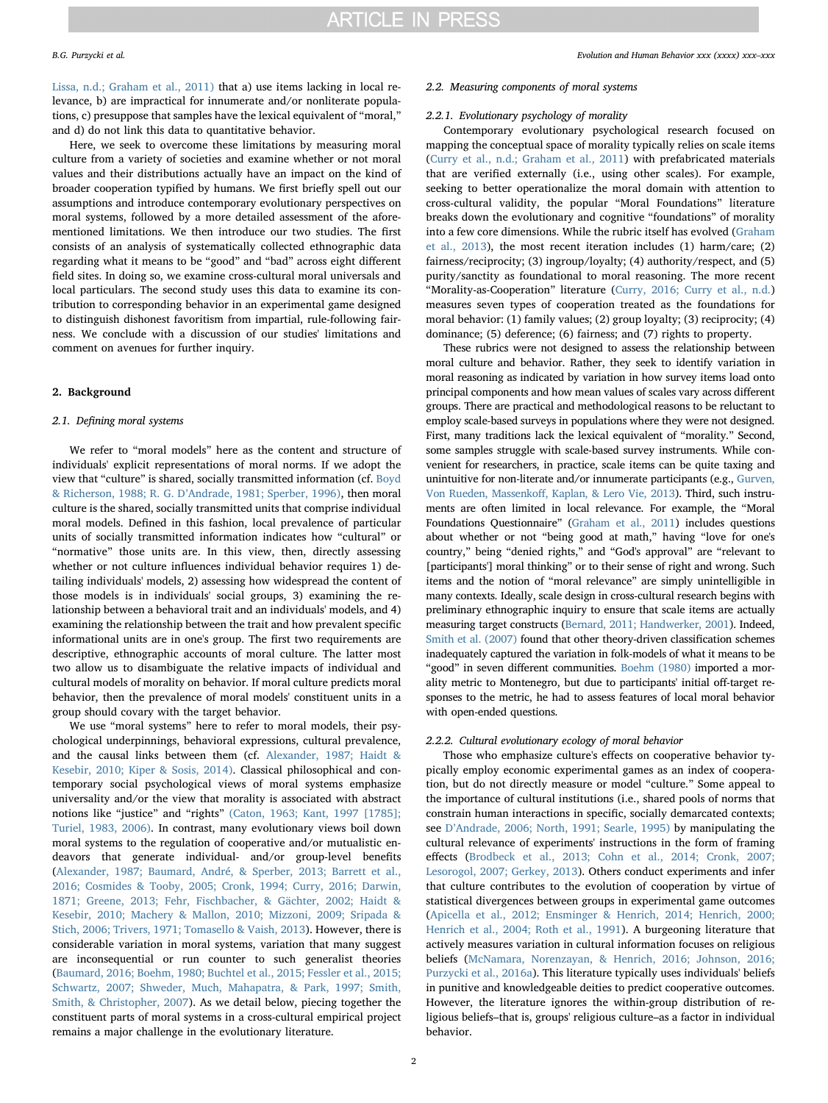[Lissa, n.d.; Graham et al., 2011\)](#page-10-3) that a) use items lacking in local relevance, b) are impractical for innumerate and/or nonliterate populations, c) presuppose that samples have the lexical equivalent of "moral," and d) do not link this data to quantitative behavior.

Here, we seek to overcome these limitations by measuring moral culture from a variety of societies and examine whether or not moral values and their distributions actually have an impact on the kind of broader cooperation typified by humans. We first briefly spell out our assumptions and introduce contemporary evolutionary perspectives on moral systems, followed by a more detailed assessment of the aforementioned limitations. We then introduce our two studies. The first consists of an analysis of systematically collected ethnographic data regarding what it means to be "good" and "bad" across eight different field sites. In doing so, we examine cross-cultural moral universals and local particulars. The second study uses this data to examine its contribution to corresponding behavior in an experimental game designed to distinguish dishonest favoritism from impartial, rule-following fairness. We conclude with a discussion of our studies' limitations and comment on avenues for further inquiry.

# 2. Background

# 2.1. Defining moral systems

We refer to "moral models" here as the content and structure of individuals' explicit representations of moral norms. If we adopt the view that "culture" is shared, socially transmitted information (cf. [Boyd](#page-9-4) & Richerson, 1988; R. G. D'[Andrade, 1981; Sperber, 1996\)](#page-9-4), then moral culture is the shared, socially transmitted units that comprise individual moral models. Defined in this fashion, local prevalence of particular units of socially transmitted information indicates how "cultural" or "normative" those units are. In this view, then, directly assessing whether or not culture influences individual behavior requires 1) detailing individuals' models, 2) assessing how widespread the content of those models is in individuals' social groups, 3) examining the relationship between a behavioral trait and an individuals' models, and 4) examining the relationship between the trait and how prevalent specific informational units are in one's group. The first two requirements are descriptive, ethnographic accounts of moral culture. The latter most two allow us to disambiguate the relative impacts of individual and cultural models of morality on behavior. If moral culture predicts moral behavior, then the prevalence of moral models' constituent units in a group should covary with the target behavior.

We use "moral systems" here to refer to moral models, their psychological underpinnings, behavioral expressions, cultural prevalence, and the causal links between them (cf. [Alexander, 1987; Haidt &](#page-9-5) [Kesebir, 2010; Kiper & Sosis, 2014\).](#page-9-5) Classical philosophical and contemporary social psychological views of moral systems emphasize universality and/or the view that morality is associated with abstract notions like "justice" and "rights" [\(Caton, 1963; Kant, 1997 \[1785\];](#page-10-4) [Turiel, 1983, 2006\).](#page-10-4) In contrast, many evolutionary views boil down moral systems to the regulation of cooperative and/or mutualistic endeavors that generate individual- and/or group-level benefits ([Alexander, 1987; Baumard, André, & Sperber, 2013; Barrett et al.,](#page-9-5) [2016; Cosmides & Tooby, 2005; Cronk, 1994; Curry, 2016; Darwin,](#page-9-5) [1871; Greene, 2013; Fehr, Fischbacher, & Gächter, 2002; Haidt &](#page-9-5) [Kesebir, 2010; Machery & Mallon, 2010; Mizzoni, 2009; Sripada &](#page-9-5) [Stich, 2006; Trivers, 1971; Tomasello & Vaish, 2013\)](#page-9-5). However, there is considerable variation in moral systems, variation that many suggest are inconsequential or run counter to such generalist theories ([Baumard, 2016; Boehm, 1980; Buchtel et al., 2015; Fessler et al., 2015;](#page-9-1) [Schwartz, 2007; Shweder, Much, Mahapatra, & Park, 1997; Smith,](#page-9-1) [Smith, & Christopher, 2007\)](#page-9-1). As we detail below, piecing together the constituent parts of moral systems in a cross-cultural empirical project remains a major challenge in the evolutionary literature.

## 2.2. Measuring components of moral systems

# 2.2.1. Evolutionary psychology of morality

Contemporary evolutionary psychological research focused on mapping the conceptual space of morality typically relies on scale items ([Curry et al., n.d.; Graham et al., 2011](#page-10-3)) with prefabricated materials that are verified externally (i.e., using other scales). For example, seeking to better operationalize the moral domain with attention to cross-cultural validity, the popular "Moral Foundations" literature breaks down the evolutionary and cognitive "foundations" of morality into a few core dimensions. While the rubric itself has evolved ([Graham](#page-10-5) [et al., 2013](#page-10-5)), the most recent iteration includes (1) harm/care; (2) fairness/reciprocity; (3) ingroup/loyalty; (4) authority/respect, and (5) purity/sanctity as foundational to moral reasoning. The more recent "Morality-as-Cooperation" literature ([Curry, 2016; Curry et al., n.d.\)](#page-10-6) measures seven types of cooperation treated as the foundations for moral behavior: (1) family values; (2) group loyalty; (3) reciprocity; (4) dominance; (5) deference; (6) fairness; and (7) rights to property.

These rubrics were not designed to assess the relationship between moral culture and behavior. Rather, they seek to identify variation in moral reasoning as indicated by variation in how survey items load onto principal components and how mean values of scales vary across different groups. There are practical and methodological reasons to be reluctant to employ scale-based surveys in populations where they were not designed. First, many traditions lack the lexical equivalent of "morality." Second, some samples struggle with scale-based survey instruments. While convenient for researchers, in practice, scale items can be quite taxing and unintuitive for non-literate and/or innumerate participants (e.g., [Gurven,](#page-10-7) Von Rueden, Massenkoff[, Kaplan, & Lero Vie, 2013\)](#page-10-7). Third, such instruments are often limited in local relevance. For example, the "Moral Foundations Questionnaire" ([Graham et al., 2011\)](#page-10-8) includes questions about whether or not "being good at math," having "love for one's country," being "denied rights," and "God's approval" are "relevant to [participants'] moral thinking" or to their sense of right and wrong. Such items and the notion of "moral relevance" are simply unintelligible in many contexts. Ideally, scale design in cross-cultural research begins with preliminary ethnographic inquiry to ensure that scale items are actually measuring target constructs ([Bernard, 2011; Handwerker, 2001\)](#page-9-6). Indeed, [Smith et al. \(2007\)](#page-10-9) found that other theory-driven classification schemes inadequately captured the variation in folk-models of what it means to be "good" in seven different communities. [Boehm \(1980\)](#page-9-7) imported a morality metric to Montenegro, but due to participants' initial off-target responses to the metric, he had to assess features of local moral behavior with open-ended questions.

# 2.2.2. Cultural evolutionary ecology of moral behavior

Those who emphasize culture's effects on cooperative behavior typically employ economic experimental games as an index of cooperation, but do not directly measure or model "culture." Some appeal to the importance of cultural institutions (i.e., shared pools of norms that constrain human interactions in specific, socially demarcated contexts; see D'[Andrade, 2006; North, 1991; Searle, 1995\)](#page-10-10) by manipulating the cultural relevance of experiments' instructions in the form of framing effects ([Brodbeck et al., 2013; Cohn et al., 2014; Cronk, 2007;](#page-9-2) [Lesorogol, 2007; Gerkey, 2013\)](#page-9-2). Others conduct experiments and infer that culture contributes to the evolution of cooperation by virtue of statistical divergences between groups in experimental game outcomes ([Apicella et al., 2012; Ensminger & Henrich, 2014; Henrich, 2000;](#page-9-3) [Henrich et al., 2004; Roth et al., 1991](#page-9-3)). A burgeoning literature that actively measures variation in cultural information focuses on religious beliefs ([McNamara, Norenzayan, & Henrich, 2016; Johnson, 2016;](#page-10-11) [Purzycki et al., 2016a](#page-10-11)). This literature typically uses individuals' beliefs in punitive and knowledgeable deities to predict cooperative outcomes. However, the literature ignores the within-group distribution of religious beliefs–that is, groups' religious culture–as a factor in individual behavior.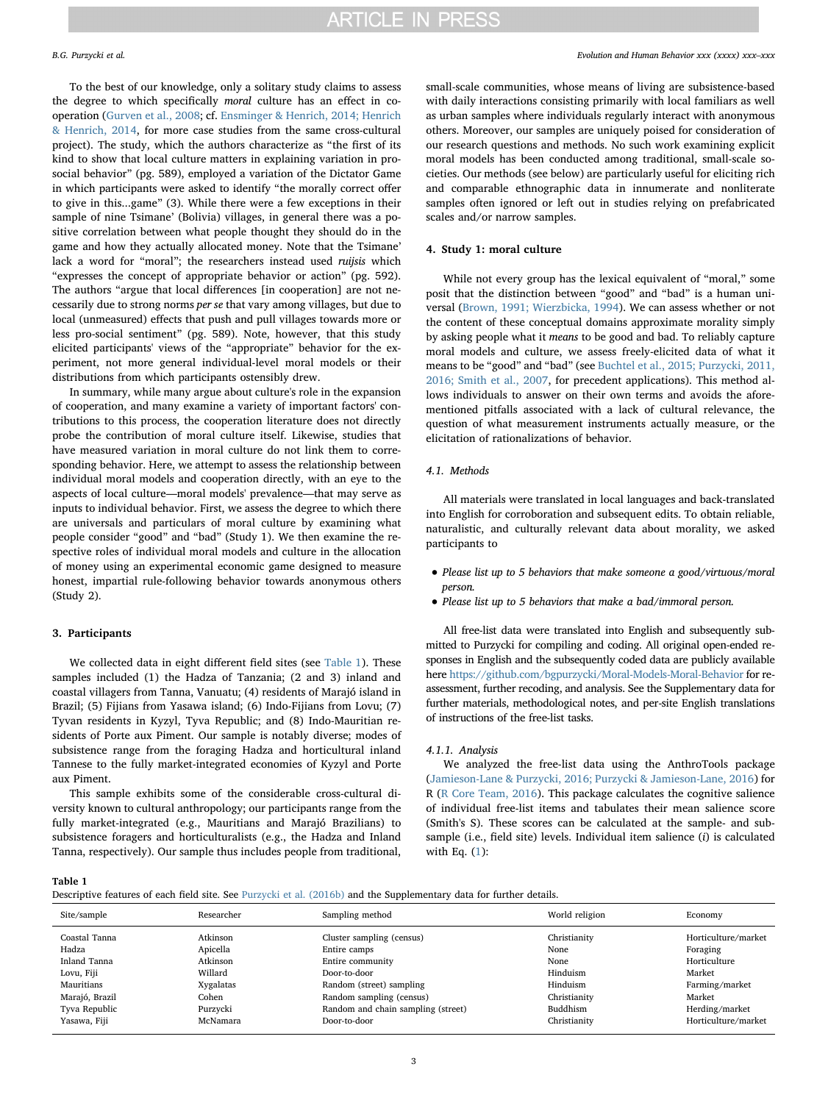To the best of our knowledge, only a solitary study claims to assess the degree to which specifically moral culture has an effect in cooperation ([Gurven et al., 2008;](#page-10-2) cf. [Ensminger & Henrich, 2014; Henrich](#page-10-12) [& Henrich, 2014](#page-10-12), for more case studies from the same cross-cultural project). The study, which the authors characterize as "the first of its kind to show that local culture matters in explaining variation in prosocial behavior" (pg. 589), employed a variation of the Dictator Game in which participants were asked to identify "the morally correct offer to give in this...game" (3). While there were a few exceptions in their sample of nine Tsimane' (Bolivia) villages, in general there was a positive correlation between what people thought they should do in the game and how they actually allocated money. Note that the Tsimane' lack a word for "moral"; the researchers instead used *ruijsis* which "expresses the concept of appropriate behavior or action" (pg. 592). The authors "argue that local differences [in cooperation] are not necessarily due to strong norms per se that vary among villages, but due to local (unmeasured) effects that push and pull villages towards more or less pro-social sentiment" (pg. 589). Note, however, that this study elicited participants' views of the "appropriate" behavior for the experiment, not more general individual-level moral models or their distributions from which participants ostensibly drew.

In summary, while many argue about culture's role in the expansion of cooperation, and many examine a variety of important factors' contributions to this process, the cooperation literature does not directly probe the contribution of moral culture itself. Likewise, studies that have measured variation in moral culture do not link them to corresponding behavior. Here, we attempt to assess the relationship between individual moral models and cooperation directly, with an eye to the aspects of local culture—moral models' prevalence—that may serve as inputs to individual behavior. First, we assess the degree to which there are universals and particulars of moral culture by examining what people consider "good" and "bad" (Study 1). We then examine the respective roles of individual moral models and culture in the allocation of money using an experimental economic game designed to measure honest, impartial rule-following behavior towards anonymous others (Study 2).

# 3. Participants

We collected data in eight different field sites (see [Table 1](#page-2-0)). These samples included (1) the Hadza of Tanzania; (2 and 3) inland and coastal villagers from Tanna, Vanuatu; (4) residents of Marajó island in Brazil; (5) Fijians from Yasawa island; (6) Indo-Fijians from Lovu; (7) Tyvan residents in Kyzyl, Tyva Republic; and (8) Indo-Mauritian residents of Porte aux Piment. Our sample is notably diverse; modes of subsistence range from the foraging Hadza and horticultural inland Tannese to the fully market-integrated economies of Kyzyl and Porte aux Piment.

This sample exhibits some of the considerable cross-cultural diversity known to cultural anthropology; our participants range from the fully market-integrated (e.g., Mauritians and Marajó Brazilians) to subsistence foragers and horticulturalists (e.g., the Hadza and Inland Tanna, respectively). Our sample thus includes people from traditional,

small-scale communities, whose means of living are subsistence-based with daily interactions consisting primarily with local familiars as well as urban samples where individuals regularly interact with anonymous others. Moreover, our samples are uniquely poised for consideration of our research questions and methods. No such work examining explicit moral models has been conducted among traditional, small-scale societies. Our methods (see below) are particularly useful for eliciting rich and comparable ethnographic data in innumerate and nonliterate samples often ignored or left out in studies relying on prefabricated scales and/or narrow samples.

# 4. Study 1: moral culture

While not every group has the lexical equivalent of "moral," some posit that the distinction between "good" and "bad" is a human universal ([Brown, 1991; Wierzbicka, 1994](#page-9-8)). We can assess whether or not the content of these conceptual domains approximate morality simply by asking people what it means to be good and bad. To reliably capture moral models and culture, we assess freely-elicited data of what it means to be "good" and "bad" (see [Buchtel et al., 2015; Purzycki, 2011,](#page-9-9) [2016; Smith et al., 2007,](#page-9-9) for precedent applications). This method allows individuals to answer on their own terms and avoids the aforementioned pitfalls associated with a lack of cultural relevance, the question of what measurement instruments actually measure, or the elicitation of rationalizations of behavior.

# 4.1. Methods

All materials were translated in local languages and back-translated into English for corroboration and subsequent edits. To obtain reliable, naturalistic, and culturally relevant data about morality, we asked participants to

- Please list up to 5 behaviors that make someone a good/virtuous/moral person.
- Please list up to 5 behaviors that make a bad/immoral person.

All free-list data were translated into English and subsequently submitted to Purzycki for compiling and coding. All original open-ended responses in English and the subsequently coded data are publicly available here <https://github.com/bgpurzycki/Moral-Models-Moral-Behavior> for reassessment, further recoding, and analysis. See the Supplementary data for further materials, methodological notes, and per-site English translations of instructions of the free-list tasks.

# 4.1.1. Analysis

<span id="page-2-1"></span>We analyzed the free-list data using the AnthroTools package ([Jamieson-Lane & Purzycki, 2016; Purzycki & Jamieson-Lane, 2016\)](#page-10-13) for R [\(R Core Team, 2016\)](#page-10-14). This package calculates the cognitive salience of individual free-list items and tabulates their mean salience score (Smith's S). These scores can be calculated at the sample- and subsample (i.e., field site) levels. Individual item salience (i) is calculated with Eq. [\(1\)](#page-2-1):

<span id="page-2-0"></span>Table 1

Descriptive features of each field site. See [Purzycki et al. \(2016b\)](#page-10-15) and the Supplementary data for further details.

| Site/sample    | Researcher | Sampling method                    | World religion | Economy             |
|----------------|------------|------------------------------------|----------------|---------------------|
| Coastal Tanna  | Atkinson   | Cluster sampling (census)          | Christianity   | Horticulture/market |
| Hadza          | Apicella   | Entire camps                       | None           | Foraging            |
| Inland Tanna   | Atkinson   | Entire community                   | None           | Horticulture        |
| Lovu, Fiji     | Willard    | Door-to-door                       | Hinduism       | Market              |
| Mauritians     | Xygalatas  | Random (street) sampling           | Hinduism       | Farming/market      |
| Marajó, Brazil | Cohen      | Random sampling (census)           | Christianity   | Market              |
| Tyva Republic  | Purzycki   | Random and chain sampling (street) | Buddhism       | Herding/market      |
| Yasawa, Fiji   | McNamara   | Door-to-door                       | Christianity   | Horticulture/market |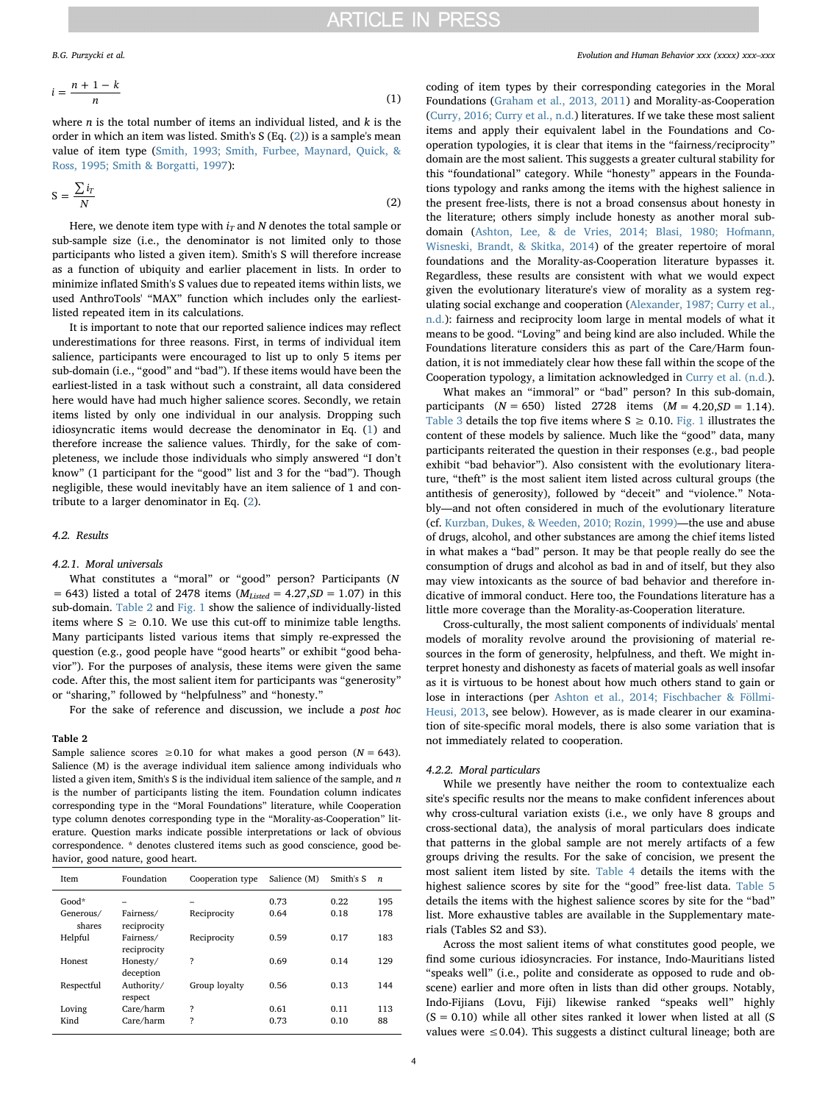$$
i = \frac{n+1-k}{n} \tag{1}
$$

where  $n$  is the total number of items an individual listed, and  $k$  is the order in which an item was listed. Smith's S (Eq. ([2](#page-3-0))) is a sample's mean value of item type [\(Smith, 1993; Smith, Furbee, Maynard, Quick, &](#page-10-16) [Ross, 1995; Smith & Borgatti, 1997\)](#page-10-16):

<span id="page-3-0"></span>
$$
S = \frac{\sum i_T}{N} \tag{2}
$$

Here, we denote item type with  $i<sub>T</sub>$  and N denotes the total sample or sub-sample size (i.e., the denominator is not limited only to those participants who listed a given item). Smith's S will therefore increase as a function of ubiquity and earlier placement in lists. In order to minimize inflated Smith's S values due to repeated items within lists, we used AnthroTools' "MAX" function which includes only the earliestlisted repeated item in its calculations.

It is important to note that our reported salience indices may reflect underestimations for three reasons. First, in terms of individual item salience, participants were encouraged to list up to only 5 items per sub-domain (i.e., "good" and "bad"). If these items would have been the earliest-listed in a task without such a constraint, all data considered here would have had much higher salience scores. Secondly, we retain items listed by only one individual in our analysis. Dropping such idiosyncratic items would decrease the denominator in Eq. [\(1\)](#page-2-1) and therefore increase the salience values. Thirdly, for the sake of completeness, we include those individuals who simply answered "I don't know" (1 participant for the "good" list and 3 for the "bad"). Though negligible, these would inevitably have an item salience of 1 and contribute to a larger denominator in Eq. [\(2\)](#page-3-0).

### 4.2. Results

#### 4.2.1. Moral universals

What constitutes a "moral" or "good" person? Participants (N = 643) listed a total of 2478 items ( $M_{Listed}$  = 4.27,  $SD = 1.07$ ) in this sub-domain. [Table 2](#page-3-1) and [Fig. 1](#page-4-0) show the salience of individually-listed items where  $S \geq 0.10$ . We use this cut-off to minimize table lengths. Many participants listed various items that simply re-expressed the question (e.g., good people have "good hearts" or exhibit "good behavior"). For the purposes of analysis, these items were given the same code. After this, the most salient item for participants was "generosity" or "sharing," followed by "helpfulness" and "honesty."

For the sake of reference and discussion, we include a post hoc

# <span id="page-3-1"></span>Table 2

Sample salience scores  $\geq 0.10$  for what makes a good person ( $N = 643$ ). Salience (M) is the average individual item salience among individuals who listed a given item, Smith's S is the individual item salience of the sample, and  $n$ is the number of participants listing the item. Foundation column indicates corresponding type in the "Moral Foundations" literature, while Cooperation type column denotes corresponding type in the "Morality-as-Cooperation" literature. Question marks indicate possible interpretations or lack of obvious correspondence. \* denotes clustered items such as good conscience, good behavior, good nature, good heart.

| <b>Item</b>         | Foundation               | Cooperation type | Salience (M) | Smith's S | $\boldsymbol{n}$ |
|---------------------|--------------------------|------------------|--------------|-----------|------------------|
| $Good*$             |                          |                  | 0.73         | 0.22      | 195              |
| Generous/<br>shares | Fairness/<br>reciprocity | Reciprocity      | 0.64         | 0.18      | 178              |
| Helpful             | Fairness/<br>reciprocity | Reciprocity      | 0.59         | 0.17      | 183              |
| Honest              | Honesty/<br>deception    | ?                | 0.69         | 0.14      | 129              |
| Respectful          | Authority/<br>respect    | Group loyalty    | 0.56         | 0.13      | 144              |
| Loving              | Care/harm                | ?                | 0.61         | 0.11      | 113              |
| Kind                | Care/harm                | 2                | 0.73         | 0.10      | 88               |

coding of item types by their corresponding categories in the Moral Foundations ([Graham et al., 2013, 2011](#page-10-5)) and Morality-as-Cooperation ([Curry, 2016; Curry et al., n.d.](#page-10-6)) literatures. If we take these most salient items and apply their equivalent label in the Foundations and Cooperation typologies, it is clear that items in the "fairness/reciprocity" domain are the most salient. This suggests a greater cultural stability for this "foundational" category. While "honesty" appears in the Foundations typology and ranks among the items with the highest salience in the present free-lists, there is not a broad consensus about honesty in the literature; others simply include honesty as another moral subdomain ([Ashton, Lee, & de Vries, 2014; Blasi, 1980; Hofmann,](#page-9-10) [Wisneski, Brandt, & Skitka, 2014\)](#page-9-10) of the greater repertoire of moral foundations and the Morality-as-Cooperation literature bypasses it. Regardless, these results are consistent with what we would expect given the evolutionary literature's view of morality as a system regulating social exchange and cooperation [\(Alexander, 1987; Curry et al.,](#page-9-5) [n.d.](#page-9-5)): fairness and reciprocity loom large in mental models of what it means to be good. "Loving" and being kind are also included. While the Foundations literature considers this as part of the Care/Harm foundation, it is not immediately clear how these fall within the scope of the Cooperation typology, a limitation acknowledged in [Curry et al. \(n.d.](#page-10-3)).

What makes an "immoral" or "bad" person? In this sub-domain, participants  $(N = 650)$  listed 2728 items  $(M = 4.20, SD = 1.14)$ . [Table 3](#page-4-1) details the top five items where  $S \ge 0.10$ . [Fig. 1](#page-4-0) illustrates the content of these models by salience. Much like the "good" data, many participants reiterated the question in their responses (e.g., bad people exhibit "bad behavior"). Also consistent with the evolutionary literature, "theft" is the most salient item listed across cultural groups (the antithesis of generosity), followed by "deceit" and "violence." Notably—and not often considered in much of the evolutionary literature (cf. [Kurzban, Dukes, & Weeden, 2010; Rozin, 1999\)](#page-10-17)—the use and abuse of drugs, alcohol, and other substances are among the chief items listed in what makes a "bad" person. It may be that people really do see the consumption of drugs and alcohol as bad in and of itself, but they also may view intoxicants as the source of bad behavior and therefore indicative of immoral conduct. Here too, the Foundations literature has a little more coverage than the Morality-as-Cooperation literature.

Cross-culturally, the most salient components of individuals' mental models of morality revolve around the provisioning of material resources in the form of generosity, helpfulness, and theft. We might interpret honesty and dishonesty as facets of material goals as well insofar as it is virtuous to be honest about how much others stand to gain or lose in interactions (per [Ashton et al., 2014; Fischbacher & Föllmi-](#page-9-10)[Heusi, 2013](#page-9-10), see below). However, as is made clearer in our examination of site-specific moral models, there is also some variation that is not immediately related to cooperation.

### 4.2.2. Moral particulars

While we presently have neither the room to contextualize each site's specific results nor the means to make confident inferences about why cross-cultural variation exists (i.e., we only have 8 groups and cross-sectional data), the analysis of moral particulars does indicate that patterns in the global sample are not merely artifacts of a few groups driving the results. For the sake of concision, we present the most salient item listed by site. [Table 4](#page-4-2) details the items with the highest salience scores by site for the "good" free-list data. [Table 5](#page-5-0) details the items with the highest salience scores by site for the "bad" list. More exhaustive tables are available in the Supplementary materials (Tables S2 and S3).

Across the most salient items of what constitutes good people, we find some curious idiosyncracies. For instance, Indo-Mauritians listed "speaks well" (i.e., polite and considerate as opposed to rude and obscene) earlier and more often in lists than did other groups. Notably, Indo-Fijians (Lovu, Fiji) likewise ranked "speaks well" highly  $(S = 0.10)$  while all other sites ranked it lower when listed at all  $(S = 0.10)$ values were  $\leq$  0.04). This suggests a distinct cultural lineage; both are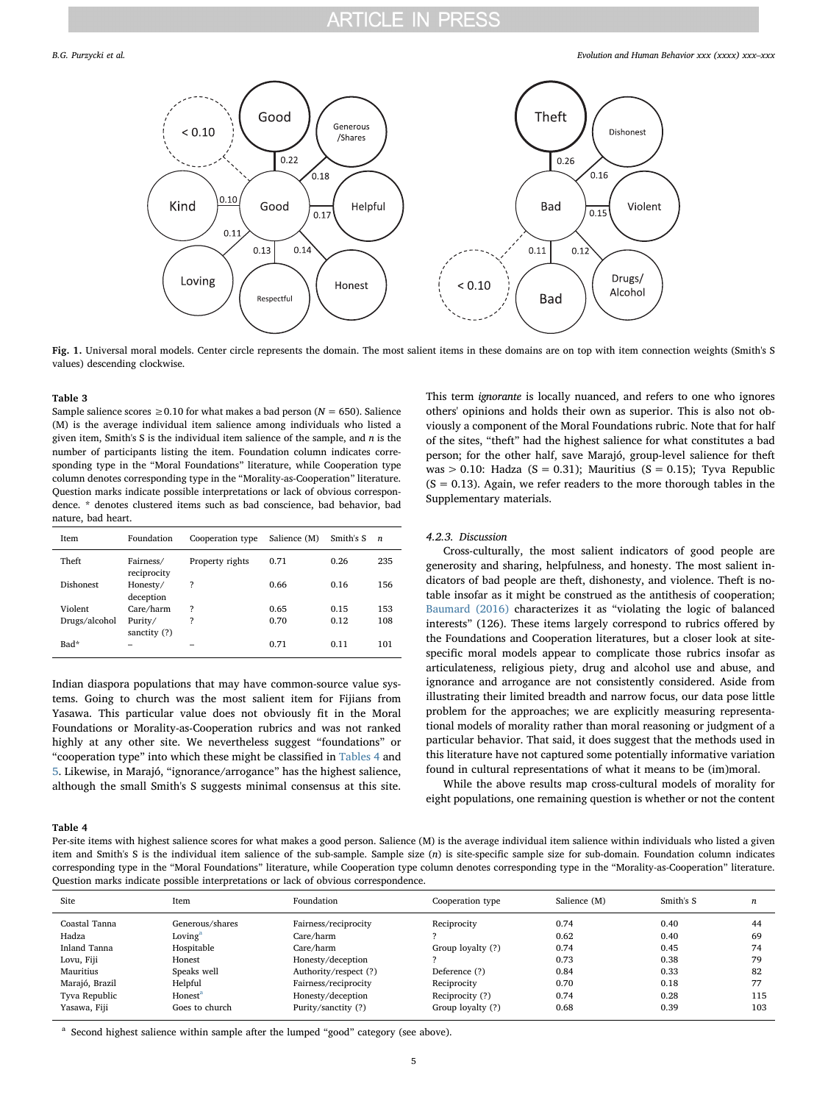# <span id="page-4-0"></span>B.G. Purzycki et al. *Evolution and Human Behavior xxx (xxxx) xxx–xxx*



Fig. 1. Universal moral models. Center circle represents the domain. The most salient items in these domains are on top with item connection weights (Smith's S values) descending clockwise.

# <span id="page-4-1"></span>Table 3

Sample salience scores  $\geq 0.10$  for what makes a bad person ( $N = 650$ ). Salience (M) is the average individual item salience among individuals who listed a given item, Smith's S is the individual item salience of the sample, and  $n$  is the number of participants listing the item. Foundation column indicates corresponding type in the "Moral Foundations" literature, while Cooperation type column denotes corresponding type in the "Morality-as-Cooperation" literature. Question marks indicate possible interpretations or lack of obvious correspondence. \* denotes clustered items such as bad conscience, bad behavior, bad nature, bad heart.

| Item             | Foundation               | Cooperation type | Salience (M) | Smith's S | $\boldsymbol{n}$ |
|------------------|--------------------------|------------------|--------------|-----------|------------------|
| Theft            | Fairness/<br>reciprocity | Property rights  | 0.71         | 0.26      | 235              |
| <b>Dishonest</b> | Honesty/<br>deception    | ?                | 0.66         | 0.16      | 156              |
| Violent          | Care/harm                | ?                | 0.65         | 0.15      | 153              |
| Drugs/alcohol    | Purity/<br>sanctity (?)  | ?                | 0.70         | 0.12      | 108              |
| Bad*             |                          | -                | 0.71         | 0.11      | 101              |

Indian diaspora populations that may have common-source value systems. Going to church was the most salient item for Fijians from Yasawa. This particular value does not obviously fit in the Moral Foundations or Morality-as-Cooperation rubrics and was not ranked highly at any other site. We nevertheless suggest "foundations" or "cooperation type" into which these might be classified in [Tables 4](#page-4-2) and [5](#page-5-0). Likewise, in Marajó, "ignorance/arrogance" has the highest salience, although the small Smith's S suggests minimal consensus at this site.

This term ignorante is locally nuanced, and refers to one who ignores others' opinions and holds their own as superior. This is also not obviously a component of the Moral Foundations rubric. Note that for half of the sites, "theft" had the highest salience for what constitutes a bad person; for the other half, save Marajó, group-level salience for theft was > 0.10: Hadza (S = 0.31); Mauritius (S = 0.15); Tyva Republic  $(S = 0.13)$ . Again, we refer readers to the more thorough tables in the Supplementary materials.

# 4.2.3. Discussion

Cross-culturally, the most salient indicators of good people are generosity and sharing, helpfulness, and honesty. The most salient indicators of bad people are theft, dishonesty, and violence. Theft is notable insofar as it might be construed as the antithesis of cooperation; [Baumard \(2016\)](#page-9-1) characterizes it as "violating the logic of balanced interests" (126). These items largely correspond to rubrics offered by the Foundations and Cooperation literatures, but a closer look at sitespecific moral models appear to complicate those rubrics insofar as articulateness, religious piety, drug and alcohol use and abuse, and ignorance and arrogance are not consistently considered. Aside from illustrating their limited breadth and narrow focus, our data pose little problem for the approaches; we are explicitly measuring representational models of morality rather than moral reasoning or judgment of a particular behavior. That said, it does suggest that the methods used in this literature have not captured some potentially informative variation found in cultural representations of what it means to be (im)moral.

While the above results map cross-cultural models of morality for eight populations, one remaining question is whether or not the content

# <span id="page-4-2"></span>Table 4

Per-site items with highest salience scores for what makes a good person. Salience (M) is the average individual item salience within individuals who listed a given item and Smith's S is the individual item salience of the sub-sample. Sample size (n) is site-specific sample size for sub-domain. Foundation column indicates corresponding type in the "Moral Foundations" literature, while Cooperation type column denotes corresponding type in the "Morality-as-Cooperation" literature. Question marks indicate possible interpretations or lack of obvious correspondence.

| Site           | Item                | Foundation            | Cooperation type  | Salience (M) | Smith's S | n   |
|----------------|---------------------|-----------------------|-------------------|--------------|-----------|-----|
| Coastal Tanna  | Generous/shares     | Fairness/reciprocity  | Reciprocity       | 0.74         | 0.40      | 44  |
| Hadza          | Loving <sup>a</sup> | Care/harm             |                   | 0.62         | 0.40      | 69  |
| Inland Tanna   | Hospitable          | Care/harm             | Group loyalty (?) | 0.74         | 0.45      | 74  |
| Lovu, Fiji     | Honest              | Honesty/deception     |                   | 0.73         | 0.38      | 79  |
| Mauritius      | Speaks well         | Authority/respect (?) | Deference (?)     | 0.84         | 0.33      | 82  |
| Marajó, Brazil | Helpful             | Fairness/reciprocity  | Reciprocity       | 0.70         | 0.18      | 77  |
| Tyva Republic  | Honest <sup>a</sup> | Honesty/deception     | Reciprocity (?)   | 0.74         | 0.28      | 115 |
| Yasawa, Fiji   | Goes to church      | Purity/sanctity (?)   | Group loyalty (?) | 0.68         | 0.39      | 103 |

<span id="page-4-3"></span><sup>a</sup> Second highest salience within sample after the lumped "good" category (see above).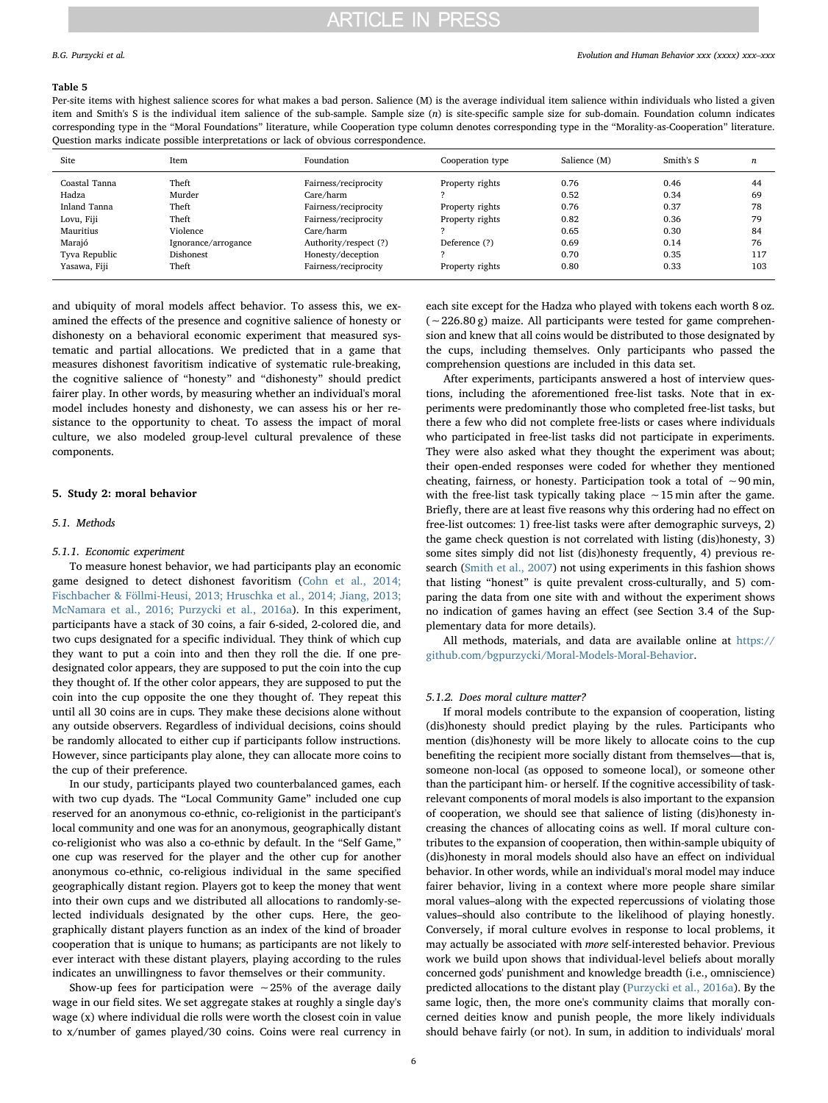#### <span id="page-5-0"></span>Table 5

Per-site items with highest salience scores for what makes a bad person. Salience (M) is the average individual item salience within individuals who listed a given item and Smith's S is the individual item salience of the sub-sample. Sample size (n) is site-specific sample size for sub-domain. Foundation column indicates corresponding type in the "Moral Foundations" literature, while Cooperation type column denotes corresponding type in the "Morality-as-Cooperation" literature. Question marks indicate possible interpretations or lack of obvious correspondence.

| Site          | Item                | Foundation            | Cooperation type | Salience (M) | Smith's S | n   |
|---------------|---------------------|-----------------------|------------------|--------------|-----------|-----|
| Coastal Tanna | Theft               | Fairness/reciprocity  | Property rights  | 0.76         | 0.46      | 44  |
| Hadza         | Murder              | Care/harm             |                  | 0.52         | 0.34      | 69  |
| Inland Tanna  | Theft               | Fairness/reciprocity  | Property rights  | 0.76         | 0.37      | 78  |
| Lovu, Fiji    | Theft               | Fairness/reciprocity  | Property rights  | 0.82         | 0.36      | 79  |
| Mauritius     | Violence            | Care/harm             |                  | 0.65         | 0.30      | 84  |
| Marajó        | Ignorance/arrogance | Authority/respect (?) | Deference (?)    | 0.69         | 0.14      | 76  |
| Tyva Republic | Dishonest           | Honesty/deception     |                  | 0.70         | 0.35      | 117 |
| Yasawa, Fiji  | Theft               | Fairness/reciprocity  | Property rights  | 0.80         | 0.33      | 103 |

and ubiquity of moral models affect behavior. To assess this, we examined the effects of the presence and cognitive salience of honesty or dishonesty on a behavioral economic experiment that measured systematic and partial allocations. We predicted that in a game that measures dishonest favoritism indicative of systematic rule-breaking, the cognitive salience of "honesty" and "dishonesty" should predict fairer play. In other words, by measuring whether an individual's moral model includes honesty and dishonesty, we can assess his or her resistance to the opportunity to cheat. To assess the impact of moral culture, we also modeled group-level cultural prevalence of these components.

# 5. Study 2: moral behavior

## 5.1. Methods

# 5.1.1. Economic experiment

To measure honest behavior, we had participants play an economic game designed to detect dishonest favoritism ([Cohn et al., 2014;](#page-10-18) [Fischbacher & Föllmi-Heusi, 2013; Hruschka et al., 2014; Jiang, 2013;](#page-10-18) [McNamara et al., 2016; Purzycki et al., 2016a](#page-10-18)). In this experiment, participants have a stack of 30 coins, a fair 6-sided, 2-colored die, and two cups designated for a specific individual. They think of which cup they want to put a coin into and then they roll the die. If one predesignated color appears, they are supposed to put the coin into the cup they thought of. If the other color appears, they are supposed to put the coin into the cup opposite the one they thought of. They repeat this until all 30 coins are in cups. They make these decisions alone without any outside observers. Regardless of individual decisions, coins should be randomly allocated to either cup if participants follow instructions. However, since participants play alone, they can allocate more coins to the cup of their preference.

In our study, participants played two counterbalanced games, each with two cup dyads. The "Local Community Game" included one cup reserved for an anonymous co-ethnic, co-religionist in the participant's local community and one was for an anonymous, geographically distant co-religionist who was also a co-ethnic by default. In the "Self Game," one cup was reserved for the player and the other cup for another anonymous co-ethnic, co-religious individual in the same specified geographically distant region. Players got to keep the money that went into their own cups and we distributed all allocations to randomly-selected individuals designated by the other cups. Here, the geographically distant players function as an index of the kind of broader cooperation that is unique to humans; as participants are not likely to ever interact with these distant players, playing according to the rules indicates an unwillingness to favor themselves or their community.

Show-up fees for participation were ∼25% of the average daily wage in our field sites. We set aggregate stakes at roughly a single day's wage (x) where individual die rolls were worth the closest coin in value to x/number of games played/30 coins. Coins were real currency in each site except for the Hadza who played with tokens each worth 8 oz. (∼226.80 g) maize. All participants were tested for game comprehension and knew that all coins would be distributed to those designated by the cups, including themselves. Only participants who passed the comprehension questions are included in this data set.

After experiments, participants answered a host of interview questions, including the aforementioned free-list tasks. Note that in experiments were predominantly those who completed free-list tasks, but there a few who did not complete free-lists or cases where individuals who participated in free-list tasks did not participate in experiments. They were also asked what they thought the experiment was about; their open-ended responses were coded for whether they mentioned cheating, fairness, or honesty. Participation took a total of ∼90 min, with the free-list task typically taking place ∼15 min after the game. Briefly, there are at least five reasons why this ordering had no effect on free-list outcomes: 1) free-list tasks were after demographic surveys, 2) the game check question is not correlated with listing (dis)honesty, 3) some sites simply did not list (dis)honesty frequently, 4) previous research [\(Smith et al., 2007\)](#page-10-9) not using experiments in this fashion shows that listing "honest" is quite prevalent cross-culturally, and 5) comparing the data from one site with and without the experiment shows no indication of games having an effect (see Section 3.4 of the Supplementary data for more details).

All methods, materials, and data are available online at [https://](https://github.com/bgpurzycki/Moral-Models-Moral-Behavior) [github.com/bgpurzycki/Moral-Models-Moral-Behavior](https://github.com/bgpurzycki/Moral-Models-Moral-Behavior).

### 5.1.2. Does moral culture matter?

If moral models contribute to the expansion of cooperation, listing (dis)honesty should predict playing by the rules. Participants who mention (dis)honesty will be more likely to allocate coins to the cup benefiting the recipient more socially distant from themselves—that is, someone non-local (as opposed to someone local), or someone other than the participant him- or herself. If the cognitive accessibility of taskrelevant components of moral models is also important to the expansion of cooperation, we should see that salience of listing (dis)honesty increasing the chances of allocating coins as well. If moral culture contributes to the expansion of cooperation, then within-sample ubiquity of (dis)honesty in moral models should also have an effect on individual behavior. In other words, while an individual's moral model may induce fairer behavior, living in a context where more people share similar moral values–along with the expected repercussions of violating those values–should also contribute to the likelihood of playing honestly. Conversely, if moral culture evolves in response to local problems, it may actually be associated with more self-interested behavior. Previous work we build upon shows that individual-level beliefs about morally concerned gods' punishment and knowledge breadth (i.e., omniscience) predicted allocations to the distant play [\(Purzycki et al., 2016a\)](#page-10-19). By the same logic, then, the more one's community claims that morally concerned deities know and punish people, the more likely individuals should behave fairly (or not). In sum, in addition to individuals' moral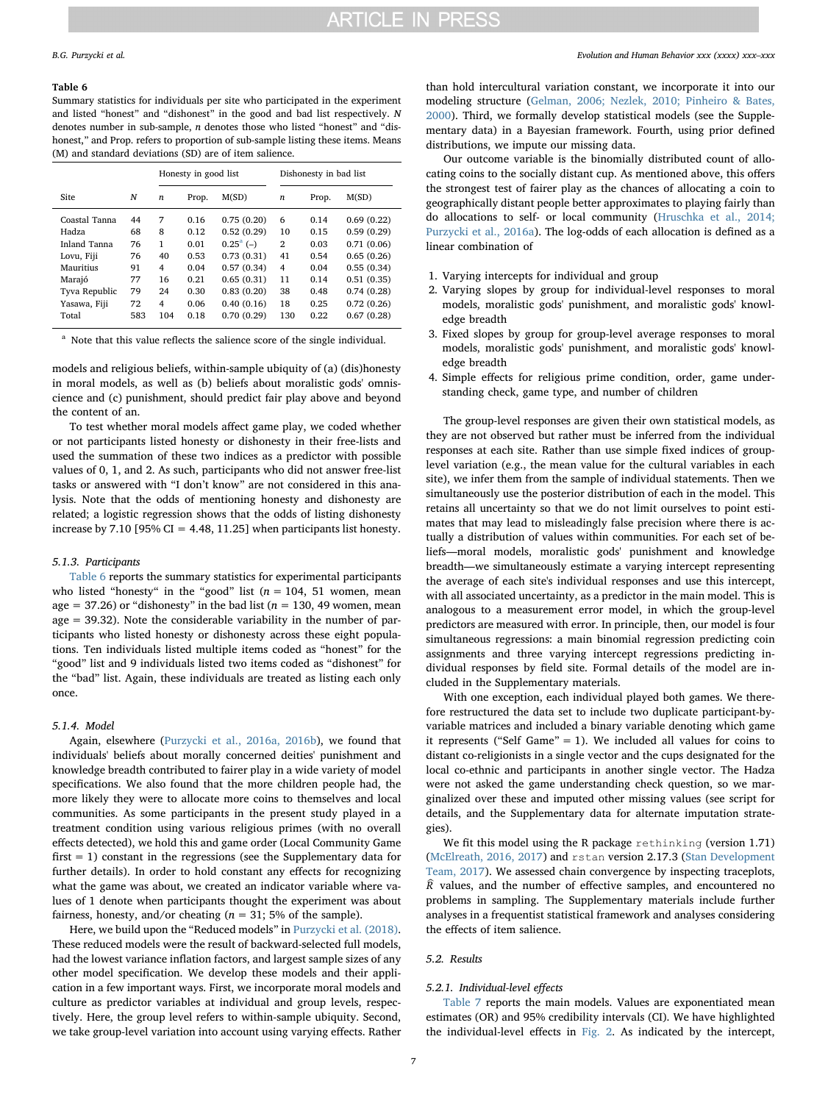#### <span id="page-6-0"></span>Table 6

Summary statistics for individuals per site who participated in the experiment and listed "honest" and "dishonest" in the good and bad list respectively. N denotes number in sub-sample, n denotes those who listed "honest" and "dishonest," and Prop. refers to proportion of sub-sample listing these items. Means (M) and standard deviations (SD) are of item salience.

|                     |     | Honesty in good list |       |                    | Dishonesty in bad list |       |            |
|---------------------|-----|----------------------|-------|--------------------|------------------------|-------|------------|
| <b>Site</b>         | N   | $\boldsymbol{n}$     | Prop. | M(SD)              | $\boldsymbol{n}$       | Prop. | M(SD)      |
| Coastal Tanna       | 44  | 7                    | 0.16  | 0.75(0.20)         | 6                      | 0.14  | 0.69(0.22) |
| Hadza               | 68  | 8                    | 0.12  | 0.52(0.29)         | 10                     | 0.15  | 0.59(0.29) |
| <b>Inland Tanna</b> | 76  | 1                    | 0.01  | $0.25^{\circ}$ (-) | 2                      | 0.03  | 0.71(0.06) |
| Lovu, Fiji          | 76  | 40                   | 0.53  | 0.73(0.31)         | 41                     | 0.54  | 0.65(0.26) |
| Mauritius           | 91  | 4                    | 0.04  | 0.57(0.34)         | 4                      | 0.04  | 0.55(0.34) |
| Maraió              | 77  | 16                   | 0.21  | 0.65(0.31)         | 11                     | 0.14  | 0.51(0.35) |
| Tyva Republic       | 79  | 24                   | 0.30  | 0.83(0.20)         | 38                     | 0.48  | 0.74(0.28) |
| Yasawa, Fiji        | 72  | 4                    | 0.06  | 0.40(0.16)         | 18                     | 0.25  | 0.72(0.26) |
| Total               | 583 | 104                  | 0.18  | 0.70(0.29)         | 130                    | 0.22  | 0.67(0.28) |

<span id="page-6-1"></span><sup>a</sup> Note that this value reflects the salience score of the single individual.

models and religious beliefs, within-sample ubiquity of (a) (dis)honesty in moral models, as well as (b) beliefs about moralistic gods' omniscience and (c) punishment, should predict fair play above and beyond the content of an.

To test whether moral models affect game play, we coded whether or not participants listed honesty or dishonesty in their free-lists and used the summation of these two indices as a predictor with possible values of 0, 1, and 2. As such, participants who did not answer free-list tasks or answered with "I don't know" are not considered in this analysis. Note that the odds of mentioning honesty and dishonesty are related; a logistic regression shows that the odds of listing dishonesty increase by 7.10 [95% CI = 4.48, 11.25] when participants list honesty.

# 5.1.3. Participants

[Table 6](#page-6-0) reports the summary statistics for experimental participants who listed "honesty" in the "good" list ( $n = 104$ , 51 women, mean age = 37.26) or "dishonesty" in the bad list ( $n = 130$ , 49 women, mean  $age = 39.32$ ). Note the considerable variability in the number of participants who listed honesty or dishonesty across these eight populations. Ten individuals listed multiple items coded as "honest" for the "good" list and 9 individuals listed two items coded as "dishonest" for the "bad" list. Again, these individuals are treated as listing each only once.

### 5.1.4. Model

Again, elsewhere [\(Purzycki et al., 2016a, 2016b\)](#page-10-19), we found that individuals' beliefs about morally concerned deities' punishment and knowledge breadth contributed to fairer play in a wide variety of model specifications. We also found that the more children people had, the more likely they were to allocate more coins to themselves and local communities. As some participants in the present study played in a treatment condition using various religious primes (with no overall effects detected), we hold this and game order (Local Community Game  $first = 1$ ) constant in the regressions (see the Supplementary data for further details). In order to hold constant any effects for recognizing what the game was about, we created an indicator variable where values of 1 denote when participants thought the experiment was about fairness, honesty, and/or cheating ( $n = 31$ ; 5% of the sample).

Here, we build upon the "Reduced models" in [Purzycki et al. \(2018\)](#page-10-20). These reduced models were the result of backward-selected full models, had the lowest variance inflation factors, and largest sample sizes of any other model specification. We develop these models and their application in a few important ways. First, we incorporate moral models and culture as predictor variables at individual and group levels, respectively. Here, the group level refers to within-sample ubiquity. Second, we take group-level variation into account using varying effects. Rather

than hold intercultural variation constant, we incorporate it into our modeling structure ([Gelman, 2006; Nezlek, 2010; Pinheiro & Bates,](#page-10-21) [2000\)](#page-10-21). Third, we formally develop statistical models (see the Supplementary data) in a Bayesian framework. Fourth, using prior defined distributions, we impute our missing data.

Our outcome variable is the binomially distributed count of allocating coins to the socially distant cup. As mentioned above, this offers the strongest test of fairer play as the chances of allocating a coin to geographically distant people better approximates to playing fairly than do allocations to self- or local community [\(Hruschka et al., 2014;](#page-10-22) [Purzycki et al., 2016a](#page-10-22)). The log-odds of each allocation is defined as a linear combination of

- 1. Varying intercepts for individual and group
- 2. Varying slopes by group for individual-level responses to moral models, moralistic gods' punishment, and moralistic gods' knowledge breadth
- 3. Fixed slopes by group for group-level average responses to moral models, moralistic gods' punishment, and moralistic gods' knowledge breadth
- 4. Simple effects for religious prime condition, order, game understanding check, game type, and number of children

The group-level responses are given their own statistical models, as they are not observed but rather must be inferred from the individual responses at each site. Rather than use simple fixed indices of grouplevel variation (e.g., the mean value for the cultural variables in each site), we infer them from the sample of individual statements. Then we simultaneously use the posterior distribution of each in the model. This retains all uncertainty so that we do not limit ourselves to point estimates that may lead to misleadingly false precision where there is actually a distribution of values within communities. For each set of beliefs—moral models, moralistic gods' punishment and knowledge breadth—we simultaneously estimate a varying intercept representing the average of each site's individual responses and use this intercept, with all associated uncertainty, as a predictor in the main model. This is analogous to a measurement error model, in which the group-level predictors are measured with error. In principle, then, our model is four simultaneous regressions: a main binomial regression predicting coin assignments and three varying intercept regressions predicting individual responses by field site. Formal details of the model are included in the Supplementary materials.

With one exception, each individual played both games. We therefore restructured the data set to include two duplicate participant-byvariable matrices and included a binary variable denoting which game it represents ("Self Game" = 1). We included all values for coins to distant co-religionists in a single vector and the cups designated for the local co-ethnic and participants in another single vector. The Hadza were not asked the game understanding check question, so we marginalized over these and imputed other missing values (see script for details, and the Supplementary data for alternate imputation strategies).

We fit this model using the R package rethinking (version 1.71) ([McElreath, 2016, 2017\)](#page-10-23) and rstan version 2.17.3 [\(Stan Development](#page-11-0) [Team, 2017\)](#page-11-0). We assessed chain convergence by inspecting traceplots,  $\hat{R}$  values, and the number of effective samples, and encountered no problems in sampling. The Supplementary materials include further analyses in a frequentist statistical framework and analyses considering the effects of item salience.

## 5.2. Results

### 5.2.1. Individual-level effects

[Table 7](#page-7-0) reports the main models. Values are exponentiated mean estimates (OR) and 95% credibility intervals (CI). We have highlighted the individual-level effects in [Fig. 2](#page-7-1). As indicated by the intercept,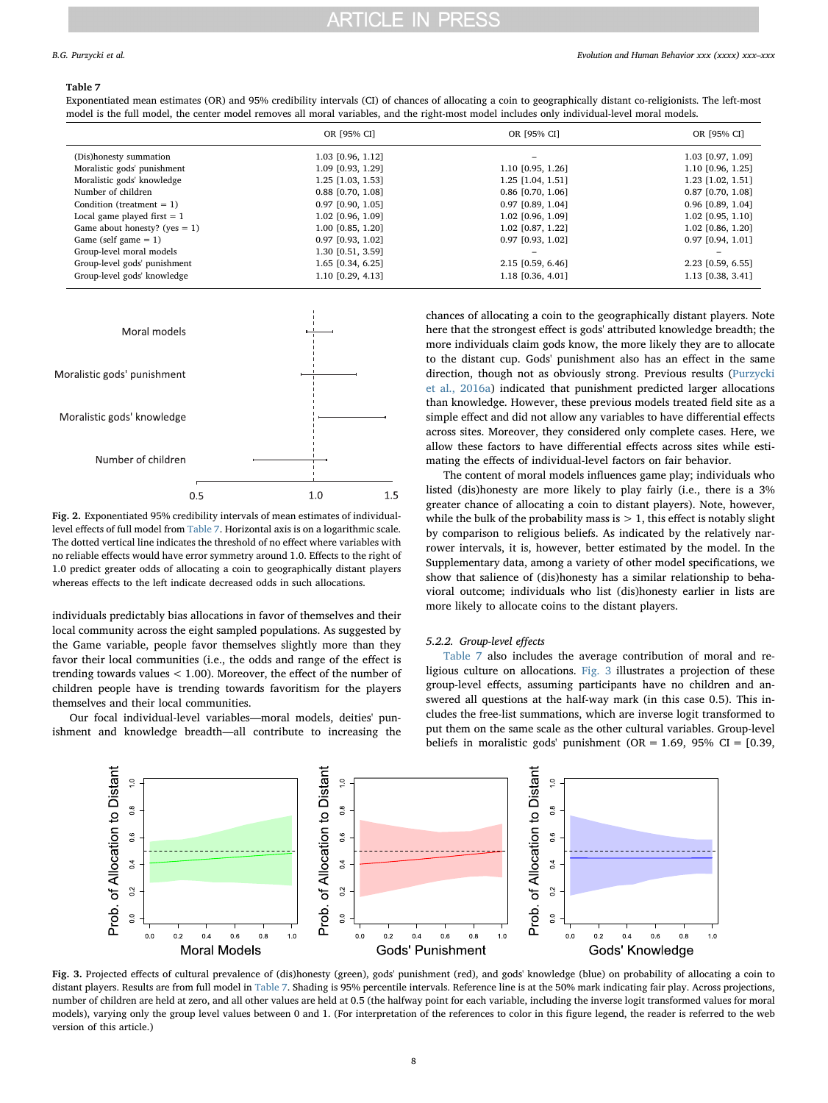# B.G. Purzycki et al. *Evolution and Human Behavior xxx (xxxx) xxx–xxx*

#### <span id="page-7-0"></span>Table 7

Exponentiated mean estimates (OR) and 95% credibility intervals (CI) of chances of allocating a coin to geographically distant co-religionists. The left-most model is the full model, the center model removes all moral variables, and the right-most model includes only individual-level moral models.

|                                   | OR [95% CI]         | OR [95% CI]         | OR [95% CI]         |
|-----------------------------------|---------------------|---------------------|---------------------|
| (Dis)honesty summation            | 1.03 [0.96, 1.12]   |                     | 1.03 [0.97, 1.09]   |
| Moralistic gods' punishment       | 1.09 [0.93, 1.29]   | 1.10 [0.95, 1.26]   | 1.10 [0.96, 1.25]   |
| Moralistic gods' knowledge        | 1.25 [1.03, 1.53]   | 1.25 [1.04, 1.51]   | 1.23 [1.02, 1.51]   |
| Number of children                | 0.88 [0.70, 1.08]   | $0.86$ [0.70, 1.06] | $0.87$ [0.70, 1.08] |
| Condition (treatment $= 1$ )      | $0.97$ [0.90, 1.05] | $0.97$ [0.89, 1.04] | $0.96$ [0.89, 1.04] |
| Local game played first $= 1$     | 1.02 [0.96, 1.09]   | 1.02 [0.96, 1.09]   | 1.02 [0.95, 1.10]   |
| Game about honesty? ( $ves = 1$ ) | 1.00 [0.85, 1.20]   | 1.02 [0.87, 1.22]   | 1.02 [0.86, 1.20]   |
| Game (self game $= 1$ )           | $0.97$ [0.93, 1.02] | $0.97$ [0.93, 1.02] | $0.97$ [0.94, 1.01] |
| Group-level moral models          | 1.30 [0.51, 3.59]   |                     |                     |
| Group-level gods' punishment      | $1.65$ [0.34, 6.25] | 2.15 [0.59, 6.46]   | $2.23$ [0.59, 6.55] |
| Group-level gods' knowledge       | 1.10 [0.29, 4.13]   | 1.18 [0.36, 4.01]   | 1.13 [0.38, 3.41]   |

<span id="page-7-1"></span>

Fig. 2. Exponentiated 95% credibility intervals of mean estimates of individuallevel effects of full model from [Table 7](#page-7-0). Horizontal axis is on a logarithmic scale. The dotted vertical line indicates the threshold of no effect where variables with no reliable effects would have error symmetry around 1.0. Effects to the right of 1.0 predict greater odds of allocating a coin to geographically distant players whereas effects to the left indicate decreased odds in such allocations.

individuals predictably bias allocations in favor of themselves and their local community across the eight sampled populations. As suggested by the Game variable, people favor themselves slightly more than they favor their local communities (i.e., the odds and range of the effect is trending towards values < 1.00). Moreover, the effect of the number of children people have is trending towards favoritism for the players themselves and their local communities.

Our focal individual-level variables—moral models, deities' punishment and knowledge breadth—all contribute to increasing the

chances of allocating a coin to the geographically distant players. Note here that the strongest effect is gods' attributed knowledge breadth; the more individuals claim gods know, the more likely they are to allocate to the distant cup. Gods' punishment also has an effect in the same direction, though not as obviously strong. Previous results [\(Purzycki](#page-10-19) [et al., 2016a](#page-10-19)) indicated that punishment predicted larger allocations than knowledge. However, these previous models treated field site as a simple effect and did not allow any variables to have differential effects across sites. Moreover, they considered only complete cases. Here, we allow these factors to have differential effects across sites while estimating the effects of individual-level factors on fair behavior.

The content of moral models influences game play; individuals who listed (dis)honesty are more likely to play fairly (i.e., there is a 3% greater chance of allocating a coin to distant players). Note, however, while the bulk of the probability mass is  $> 1$ , this effect is notably slight by comparison to religious beliefs. As indicated by the relatively narrower intervals, it is, however, better estimated by the model. In the Supplementary data, among a variety of other model specifications, we show that salience of (dis)honesty has a similar relationship to behavioral outcome; individuals who list (dis)honesty earlier in lists are more likely to allocate coins to the distant players.

### 5.2.2. Group-level effects

[Table 7](#page-7-0) also includes the average contribution of moral and religious culture on allocations. [Fig. 3](#page-7-2) illustrates a projection of these group-level effects, assuming participants have no children and answered all questions at the half-way mark (in this case 0.5). This includes the free-list summations, which are inverse logit transformed to put them on the same scale as the other cultural variables. Group-level beliefs in moralistic gods' punishment (OR = 1.69, 95% CI =  $[0.39,$ 

<span id="page-7-2"></span>

Fig. 3. Projected effects of cultural prevalence of (dis)honesty (green), gods' punishment (red), and gods' knowledge (blue) on probability of allocating a coin to distant players. Results are from full model in [Table 7.](#page-7-0) Shading is 95% percentile intervals. Reference line is at the 50% mark indicating fair play. Across projections, number of children are held at zero, and all other values are held at 0.5 (the halfway point for each variable, including the inverse logit transformed values for moral models), varying only the group level values between 0 and 1. (For interpretation of the references to color in this figure legend, the reader is referred to the web version of this article.)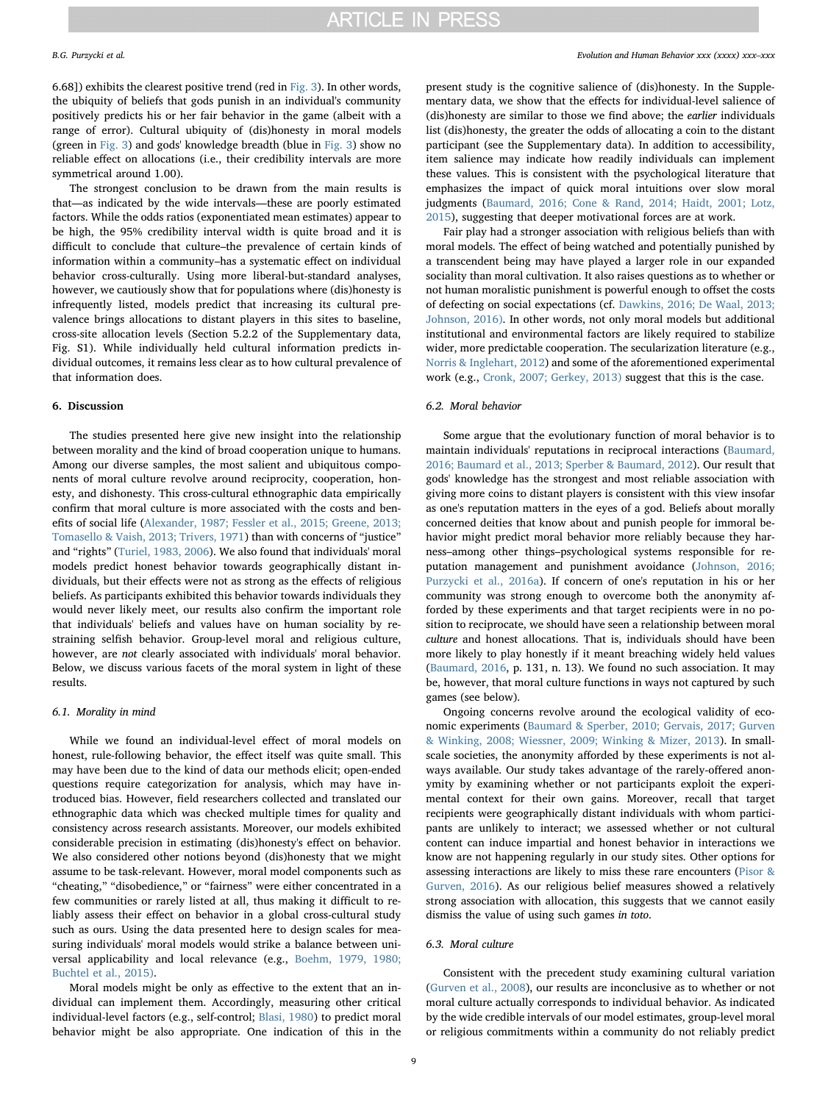6.68]) exhibits the clearest positive trend (red in [Fig. 3](#page-7-2)). In other words, the ubiquity of beliefs that gods punish in an individual's community positively predicts his or her fair behavior in the game (albeit with a range of error). Cultural ubiquity of (dis)honesty in moral models (green in [Fig. 3](#page-7-2)) and gods' knowledge breadth (blue in [Fig. 3\)](#page-7-2) show no reliable effect on allocations (i.e., their credibility intervals are more symmetrical around 1.00).

The strongest conclusion to be drawn from the main results is that—as indicated by the wide intervals—these are poorly estimated factors. While the odds ratios (exponentiated mean estimates) appear to be high, the 95% credibility interval width is quite broad and it is difficult to conclude that culture–the prevalence of certain kinds of information within a community–has a systematic effect on individual behavior cross-culturally. Using more liberal-but-standard analyses, however, we cautiously show that for populations where (dis)honesty is infrequently listed, models predict that increasing its cultural prevalence brings allocations to distant players in this sites to baseline, cross-site allocation levels (Section 5.2.2 of the Supplementary data, Fig. S1). While individually held cultural information predicts individual outcomes, it remains less clear as to how cultural prevalence of that information does.

### 6. Discussion

The studies presented here give new insight into the relationship between morality and the kind of broad cooperation unique to humans. Among our diverse samples, the most salient and ubiquitous components of moral culture revolve around reciprocity, cooperation, honesty, and dishonesty. This cross-cultural ethnographic data empirically confirm that moral culture is more associated with the costs and benefits of social life ([Alexander, 1987; Fessler et al., 2015; Greene, 2013;](#page-9-5) [Tomasello & Vaish, 2013; Trivers, 1971](#page-9-5)) than with concerns of "justice" and "rights" [\(Turiel, 1983, 2006\)](#page-11-1). We also found that individuals' moral models predict honest behavior towards geographically distant individuals, but their effects were not as strong as the effects of religious beliefs. As participants exhibited this behavior towards individuals they would never likely meet, our results also confirm the important role that individuals' beliefs and values have on human sociality by restraining selfish behavior. Group-level moral and religious culture, however, are not clearly associated with individuals' moral behavior. Below, we discuss various facets of the moral system in light of these results.

# 6.1. Morality in mind

While we found an individual-level effect of moral models on honest, rule-following behavior, the effect itself was quite small. This may have been due to the kind of data our methods elicit; open-ended questions require categorization for analysis, which may have introduced bias. However, field researchers collected and translated our ethnographic data which was checked multiple times for quality and consistency across research assistants. Moreover, our models exhibited considerable precision in estimating (dis)honesty's effect on behavior. We also considered other notions beyond (dis)honesty that we might assume to be task-relevant. However, moral model components such as "cheating," "disobedience," or "fairness" were either concentrated in a few communities or rarely listed at all, thus making it difficult to reliably assess their effect on behavior in a global cross-cultural study such as ours. Using the data presented here to design scales for measuring individuals' moral models would strike a balance between universal applicability and local relevance (e.g., [Boehm, 1979, 1980;](#page-9-11) [Buchtel et al., 2015\).](#page-9-11)

Moral models might be only as effective to the extent that an individual can implement them. Accordingly, measuring other critical individual-level factors (e.g., self-control; [Blasi, 1980\)](#page-9-12) to predict moral behavior might be also appropriate. One indication of this in the

present study is the cognitive salience of (dis)honesty. In the Supplementary data, we show that the effects for individual-level salience of (dis)honesty are similar to those we find above; the earlier individuals list (dis)honesty, the greater the odds of allocating a coin to the distant participant (see the Supplementary data). In addition to accessibility, item salience may indicate how readily individuals can implement these values. This is consistent with the psychological literature that emphasizes the impact of quick moral intuitions over slow moral judgments [\(Baumard, 2016; Cone & Rand, 2014; Haidt, 2001; Lotz,](#page-9-1) [2015\)](#page-9-1), suggesting that deeper motivational forces are at work.

Fair play had a stronger association with religious beliefs than with moral models. The effect of being watched and potentially punished by a transcendent being may have played a larger role in our expanded sociality than moral cultivation. It also raises questions as to whether or not human moralistic punishment is powerful enough to offset the costs of defecting on social expectations (cf. [Dawkins, 2016; De Waal, 2013;](#page-10-24) [Johnson, 2016\).](#page-10-24) In other words, not only moral models but additional institutional and environmental factors are likely required to stabilize wider, more predictable cooperation. The secularization literature (e.g., [Norris & Inglehart, 2012](#page-10-25)) and some of the aforementioned experimental work (e.g., [Cronk, 2007; Gerkey, 2013\)](#page-10-26) suggest that this is the case.

# 6.2. Moral behavior

Some argue that the evolutionary function of moral behavior is to maintain individuals' reputations in reciprocal interactions ([Baumard,](#page-9-1) [2016; Baumard et al., 2013; Sperber & Baumard, 2012\)](#page-9-1). Our result that gods' knowledge has the strongest and most reliable association with giving more coins to distant players is consistent with this view insofar as one's reputation matters in the eyes of a god. Beliefs about morally concerned deities that know about and punish people for immoral behavior might predict moral behavior more reliably because they harness–among other things–psychological systems responsible for reputation management and punishment avoidance ([Johnson, 2016;](#page-10-27) [Purzycki et al., 2016a](#page-10-27)). If concern of one's reputation in his or her community was strong enough to overcome both the anonymity afforded by these experiments and that target recipients were in no position to reciprocate, we should have seen a relationship between moral culture and honest allocations. That is, individuals should have been more likely to play honestly if it meant breaching widely held values ([Baumard, 2016](#page-9-1), p. 131, n. 13). We found no such association. It may be, however, that moral culture functions in ways not captured by such games (see below).

Ongoing concerns revolve around the ecological validity of economic experiments (Baumard [& Sperber, 2010; Gervais, 2017; Gurven](#page-9-13) [& Winking, 2008; Wiessner, 2009; Winking & Mizer, 2013](#page-9-13)). In smallscale societies, the anonymity afforded by these experiments is not always available. Our study takes advantage of the rarely-offered anonymity by examining whether or not participants exploit the experimental context for their own gains. Moreover, recall that target recipients were geographically distant individuals with whom participants are unlikely to interact; we assessed whether or not cultural content can induce impartial and honest behavior in interactions we know are not happening regularly in our study sites. Other options for assessing interactions are likely to miss these rare encounters ([Pisor &](#page-10-28) [Gurven, 2016](#page-10-28)). As our religious belief measures showed a relatively strong association with allocation, this suggests that we cannot easily dismiss the value of using such games in toto.

# 6.3. Moral culture

Consistent with the precedent study examining cultural variation ([Gurven et al., 2008](#page-10-2)), our results are inconclusive as to whether or not moral culture actually corresponds to individual behavior. As indicated by the wide credible intervals of our model estimates, group-level moral or religious commitments within a community do not reliably predict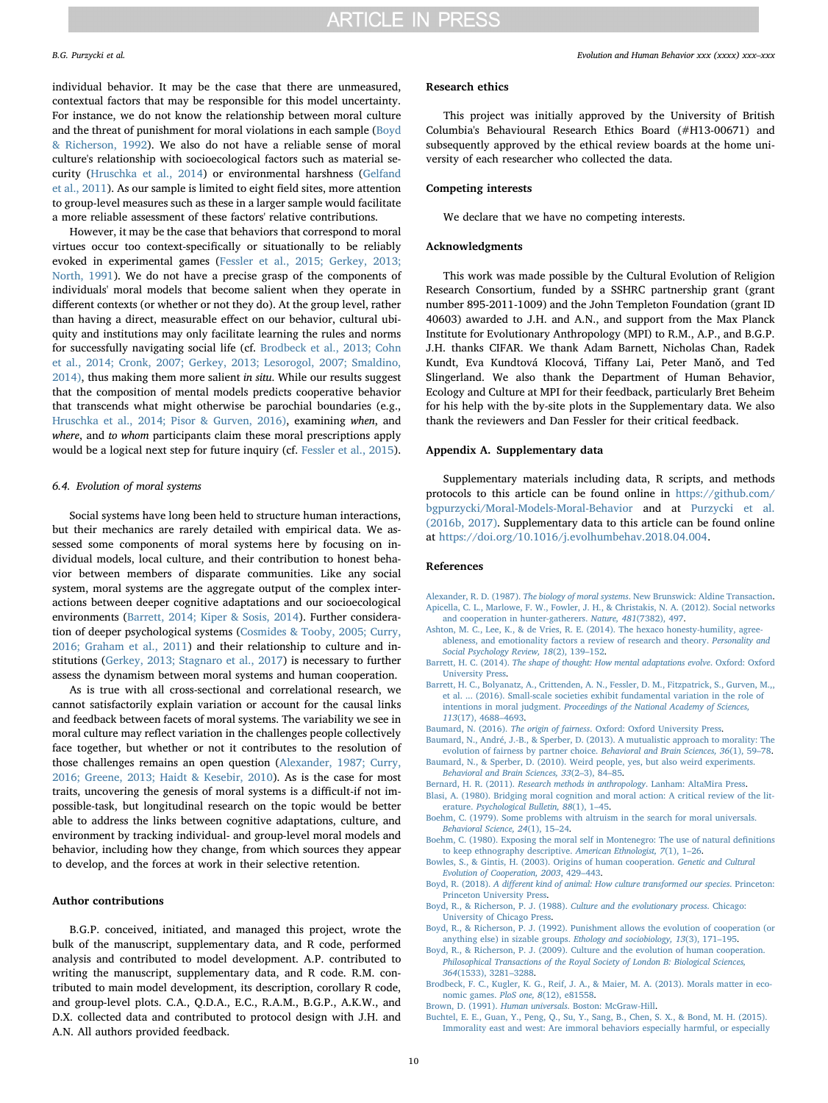individual behavior. It may be the case that there are unmeasured, contextual factors that may be responsible for this model uncertainty. For instance, we do not know the relationship between moral culture and the threat of punishment for moral violations in each sample ([Boyd](#page-9-14) [& Richerson, 1992\)](#page-9-14). We also do not have a reliable sense of moral culture's relationship with socioecological factors such as material security [\(Hruschka et al., 2014](#page-10-22)) or environmental harshness [\(Gelfand](#page-10-29) [et al., 2011](#page-10-29)). As our sample is limited to eight field sites, more attention to group-level measures such as these in a larger sample would facilitate a more reliable assessment of these factors' relative contributions.

However, it may be the case that behaviors that correspond to moral virtues occur too context-specifically or situationally to be reliably evoked in experimental games [\(Fessler et al., 2015; Gerkey, 2013;](#page-10-30) [North, 1991\)](#page-10-30). We do not have a precise grasp of the components of individuals' moral models that become salient when they operate in different contexts (or whether or not they do). At the group level, rather than having a direct, measurable effect on our behavior, cultural ubiquity and institutions may only facilitate learning the rules and norms for successfully navigating social life (cf. [Brodbeck et al., 2013; Cohn](#page-9-2) [et al., 2014; Cronk, 2007; Gerkey, 2013; Lesorogol, 2007; Smaldino,](#page-9-2) [2014\),](#page-9-2) thus making them more salient in situ. While our results suggest that the composition of mental models predicts cooperative behavior that transcends what might otherwise be parochial boundaries (e.g., [Hruschka et al., 2014; Pisor & Gurven, 2016\)](#page-10-22), examining when, and where, and to whom participants claim these moral prescriptions apply would be a logical next step for future inquiry (cf. [Fessler et al., 2015](#page-10-30)).

# 6.4. Evolution of moral systems

Social systems have long been held to structure human interactions, but their mechanics are rarely detailed with empirical data. We assessed some components of moral systems here by focusing on individual models, local culture, and their contribution to honest behavior between members of disparate communities. Like any social system, moral systems are the aggregate output of the complex interactions between deeper cognitive adaptations and our socioecological environments ([Barrett, 2014; Kiper & Sosis, 2014](#page-9-15)). Further consideration of deeper psychological systems [\(Cosmides & Tooby, 2005; Curry,](#page-10-31) [2016; Graham et al., 2011](#page-10-31)) and their relationship to culture and institutions [\(Gerkey, 2013; Stagnaro et al., 2017\)](#page-10-32) is necessary to further assess the dynamism between moral systems and human cooperation.

As is true with all cross-sectional and correlational research, we cannot satisfactorily explain variation or account for the causal links and feedback between facets of moral systems. The variability we see in moral culture may reflect variation in the challenges people collectively face together, but whether or not it contributes to the resolution of those challenges remains an open question [\(Alexander, 1987; Curry,](#page-9-5) [2016; Greene, 2013; Haidt & Kesebir, 2010](#page-9-5)). As is the case for most traits, uncovering the genesis of moral systems is a difficult-if not impossible-task, but longitudinal research on the topic would be better able to address the links between cognitive adaptations, culture, and environment by tracking individual- and group-level moral models and behavior, including how they change, from which sources they appear to develop, and the forces at work in their selective retention.

# Author contributions

B.G.P. conceived, initiated, and managed this project, wrote the bulk of the manuscript, supplementary data, and R code, performed analysis and contributed to model development. A.P. contributed to writing the manuscript, supplementary data, and R code. R.M. contributed to main model development, its description, corollary R code, and group-level plots. C.A., Q.D.A., E.C., R.A.M., B.G.P., A.K.W., and D.X. collected data and contributed to protocol design with J.H. and A.N. All authors provided feedback.

# Research ethics

This project was initially approved by the University of British Columbia's Behavioural Research Ethics Board (#H13-00671) and subsequently approved by the ethical review boards at the home university of each researcher who collected the data.

# Competing interests

We declare that we have no competing interests.

# Acknowledgments

This work was made possible by the Cultural Evolution of Religion Research Consortium, funded by a SSHRC partnership grant (grant number 895-2011-1009) and the John Templeton Foundation (grant ID 40603) awarded to J.H. and A.N., and support from the Max Planck Institute for Evolutionary Anthropology (MPI) to R.M., A.P., and B.G.P. J.H. thanks CIFAR. We thank Adam Barnett, Nicholas Chan, Radek Kundt, Eva Kundtová Klocová, Tiffany Lai, Peter Manǒ, and Ted Slingerland. We also thank the Department of Human Behavior, Ecology and Culture at MPI for their feedback, particularly Bret Beheim for his help with the by-site plots in the Supplementary data. We also thank the reviewers and Dan Fessler for their critical feedback.

### Appendix A. Supplementary data

Supplementary materials including data, R scripts, and methods protocols to this article can be found online in [https://github.com/](https://github.com/bgpurzycki/Moral-Models-Moral-Behavior) [bgpurzycki/Moral-Models-Moral-Behavior](https://github.com/bgpurzycki/Moral-Models-Moral-Behavior) and at [Purzycki et al.](#page-10-15) [\(2016b, 2017\).](#page-10-15) Supplementary data to this article can be found online at <https://doi.org/10.1016/j.evolhumbehav.2018.04.004>.

#### References

- <span id="page-9-5"></span><span id="page-9-3"></span>Alexander, R. D. (1987). The biology of moral systems[. New Brunswick: Aldine Transaction.](http://refhub.elsevier.com/S1090-5138(17)30323-9/rf0005) [Apicella, C. L., Marlowe, F. W., Fowler, J. H., & Christakis, N. A. \(2012\). Social networks](http://refhub.elsevier.com/S1090-5138(17)30323-9/rf0010) [and cooperation in hunter-gatherers.](http://refhub.elsevier.com/S1090-5138(17)30323-9/rf0010) Nature, 481(7382), 497.
- <span id="page-9-10"></span>[Ashton, M. C., Lee, K., & de Vries, R. E. \(2014\). The hexaco honesty-humility, agree](http://refhub.elsevier.com/S1090-5138(17)30323-9/rf0015)[ableness, and emotionality factors a review of research and theory.](http://refhub.elsevier.com/S1090-5138(17)30323-9/rf0015) Personality and [Social Psychology Review, 18](http://refhub.elsevier.com/S1090-5138(17)30323-9/rf0015)(2), 139–152.
- <span id="page-9-15"></span>Barrett, H. C. (2014). [The shape of thought: How mental adaptations evolve](http://refhub.elsevier.com/S1090-5138(17)30323-9/rf0020). Oxford: Oxford [University Press](http://refhub.elsevier.com/S1090-5138(17)30323-9/rf0020).
- [Barrett, H. C., Bolyanatz, A., Crittenden, A. N., Fessler, D. M., Fitzpatrick, S., Gurven, M.,,](http://refhub.elsevier.com/S1090-5138(17)30323-9/rf0025) [et al. ... \(2016\). Small-scale societies exhibit fundamental variation in the role of](http://refhub.elsevier.com/S1090-5138(17)30323-9/rf0025) intentions in moral judgment. [Proceedings of the National Academy of Sciences,](http://refhub.elsevier.com/S1090-5138(17)30323-9/rf0025) 113[\(17\), 4688](http://refhub.elsevier.com/S1090-5138(17)30323-9/rf0025)–4693.
- <span id="page-9-1"></span>Baumard, N. (2016). The origin of fairness[. Oxford: Oxford University Press](http://refhub.elsevier.com/S1090-5138(17)30323-9/rf0030).
- [Baumard, N., André, J.-B., & Sperber, D. \(2013\). A mutualistic approach to morality: The](http://refhub.elsevier.com/S1090-5138(17)30323-9/rf0035) [evolution of fairness by partner choice.](http://refhub.elsevier.com/S1090-5138(17)30323-9/rf0035) Behavioral and Brain Sciences, 36(1), 59–78.
- <span id="page-9-13"></span>[Baumard, N., & Sperber, D. \(2010\). Weird people, yes, but also weird experiments.](http://refhub.elsevier.com/S1090-5138(17)30323-9/rf0040) [Behavioral and Brain Sciences, 33](http://refhub.elsevier.com/S1090-5138(17)30323-9/rf0040)(2–3), 84–85.
- <span id="page-9-12"></span><span id="page-9-6"></span>Bernard, H. R. (2011). [Research methods in anthropology](http://refhub.elsevier.com/S1090-5138(17)30323-9/rf0045). Lanham: AltaMira Press.
- [Blasi, A. \(1980\). Bridging moral cognition and moral action: A critical review of the lit](http://refhub.elsevier.com/S1090-5138(17)30323-9/rf0050)erature. [Psychological Bulletin, 88](http://refhub.elsevier.com/S1090-5138(17)30323-9/rf0050)(1), 1–45.
- <span id="page-9-11"></span>[Boehm, C. \(1979\). Some problems with altruism in the search for moral universals.](http://refhub.elsevier.com/S1090-5138(17)30323-9/rf0055) [Behavioral Science, 24](http://refhub.elsevier.com/S1090-5138(17)30323-9/rf0055)(1), 15–24.
- <span id="page-9-7"></span>[Boehm, C. \(1980\). Exposing the moral self in Montenegro: The use of natural de](http://refhub.elsevier.com/S1090-5138(17)30323-9/rf0060)finitions [to keep ethnography descriptive.](http://refhub.elsevier.com/S1090-5138(17)30323-9/rf0060) American Ethnologist, 7(1), 1–26.
- <span id="page-9-0"></span>[Bowles, S., & Gintis, H. \(2003\). Origins of human cooperation.](http://refhub.elsevier.com/S1090-5138(17)30323-9/rf0065) Genetic and Cultural [Evolution of Cooperation, 2003](http://refhub.elsevier.com/S1090-5138(17)30323-9/rf0065), 429–443.
- Boyd, R. (2018). A diff[erent kind of animal: How culture transformed our species](http://refhub.elsevier.com/S1090-5138(17)30323-9/rf0070). Princeton: [Princeton University Press](http://refhub.elsevier.com/S1090-5138(17)30323-9/rf0070).
- <span id="page-9-4"></span>[Boyd, R., & Richerson, P. J. \(1988\).](http://refhub.elsevier.com/S1090-5138(17)30323-9/rf0075) Culture and the evolutionary process. Chicago: [University of Chicago Press.](http://refhub.elsevier.com/S1090-5138(17)30323-9/rf0075)
- <span id="page-9-14"></span>[Boyd, R., & Richerson, P. J. \(1992\). Punishment allows the evolution of cooperation \(or](http://refhub.elsevier.com/S1090-5138(17)30323-9/rf0080) [anything else\) in sizable groups.](http://refhub.elsevier.com/S1090-5138(17)30323-9/rf0080) Ethology and sociobiology, 13(3), 171–195.
- Boyd, [R., & Richerson, P. J. \(2009\). Culture and the evolution of human cooperation.](http://refhub.elsevier.com/S1090-5138(17)30323-9/rf0085) [Philosophical Transactions of the Royal Society of London B: Biological Sciences,](http://refhub.elsevier.com/S1090-5138(17)30323-9/rf0085) 364[\(1533\), 3281](http://refhub.elsevier.com/S1090-5138(17)30323-9/rf0085)–3288.
- <span id="page-9-2"></span>[Brodbeck, F. C., Kugler, K. G., Reif, J. A., & Maier, M. A. \(2013\). Morals matter in eco](http://refhub.elsevier.com/S1090-5138(17)30323-9/rf0090)[nomic games.](http://refhub.elsevier.com/S1090-5138(17)30323-9/rf0090) PloS one, 8(12), e81558.
- <span id="page-9-8"></span>Brown, D. (1991). Human universals[. Boston: McGraw-Hill.](http://refhub.elsevier.com/S1090-5138(17)30323-9/rf0095)

<span id="page-9-9"></span>[Buchtel, E. E., Guan, Y., Peng, Q., Su, Y., Sang, B., Chen, S. X., & Bond, M. H. \(2015\).](http://refhub.elsevier.com/S1090-5138(17)30323-9/rf0100) [Immorality east and west: Are immoral behaviors especially harmful, or especially](http://refhub.elsevier.com/S1090-5138(17)30323-9/rf0100)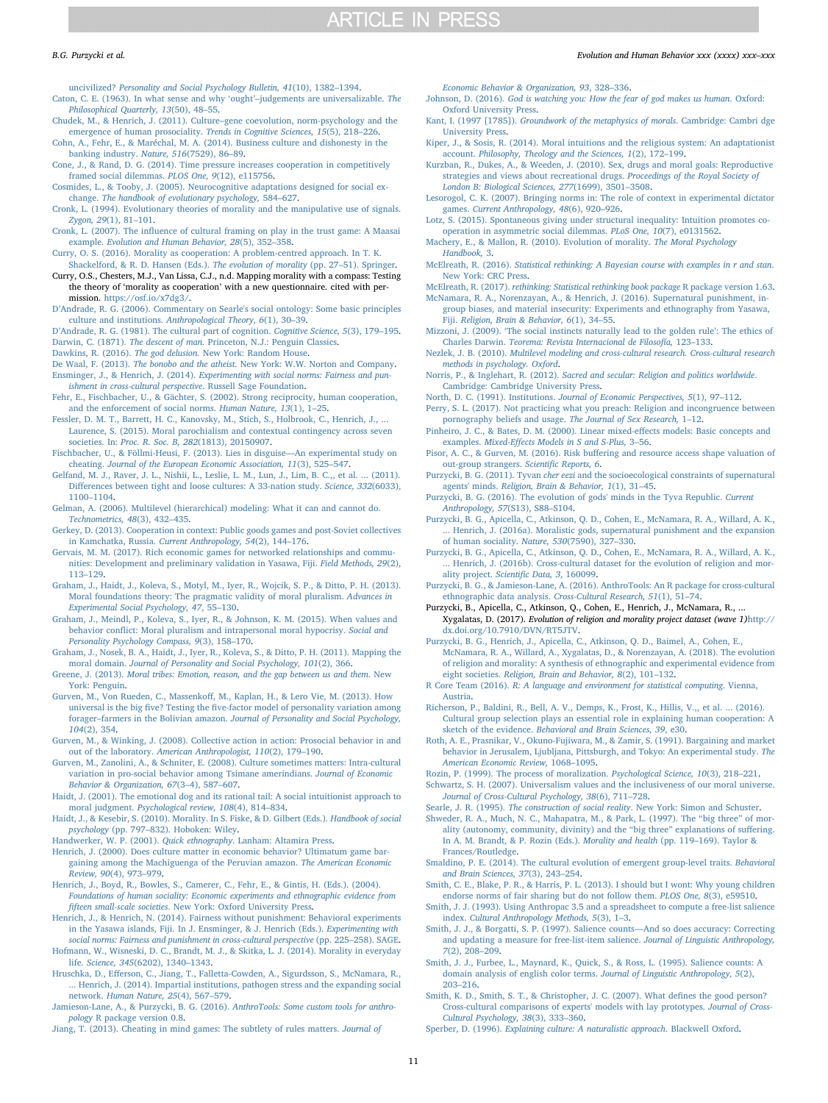uncivilized? [Personality and Social Psychology Bulletin, 41](http://refhub.elsevier.com/S1090-5138(17)30323-9/rf0100)(10), 1382–1394.

- <span id="page-10-4"></span>[Caton, C. E. \(1963\). In what sense and why](http://refhub.elsevier.com/S1090-5138(17)30323-9/rf0105) 'ought'–judgements are universalizable. The [Philosophical Quarterly, 13](http://refhub.elsevier.com/S1090-5138(17)30323-9/rf0105)(50), 48–55.
- Chudek, M., & Henrich, J. (2011). Culture–[gene coevolution, norm-psychology and the](http://refhub.elsevier.com/S1090-5138(17)30323-9/rf0110) [emergence of human prosociality.](http://refhub.elsevier.com/S1090-5138(17)30323-9/rf0110) Trends in Cognitive Sciences, 15(5), 218–226.
- <span id="page-10-18"></span>[Cohn, A., Fehr, E., & Maréchal, M. A. \(2014\). Business culture and dishonesty in the](http://refhub.elsevier.com/S1090-5138(17)30323-9/rf0115) [banking industry.](http://refhub.elsevier.com/S1090-5138(17)30323-9/rf0115) Nature, 516(7529), 86–89.
- [Cone, J., & Rand, D. G. \(2014\). Time pressure increases cooperation in competitively](http://refhub.elsevier.com/S1090-5138(17)30323-9/rf0120) [framed social dilemmas.](http://refhub.elsevier.com/S1090-5138(17)30323-9/rf0120) PLOS One, 9(12), e115756.
- <span id="page-10-31"></span>[Cosmides, L., & Tooby, J. \(2005\). Neurocognitive adaptations designed for social ex](http://refhub.elsevier.com/S1090-5138(17)30323-9/rf0125)change. [The handbook of evolutionary psychology,](http://refhub.elsevier.com/S1090-5138(17)30323-9/rf0125) 584–627.
- [Cronk, L. \(1994\). Evolutionary theories of morality and the manipulative use of signals.](http://refhub.elsevier.com/S1090-5138(17)30323-9/rf0130) [Zygon, 29](http://refhub.elsevier.com/S1090-5138(17)30323-9/rf0130)(1), 81–101.
- <span id="page-10-26"></span>Cronk, L. (2007). The infl[uence of cultural framing on play in the trust game: A Maasai](http://refhub.elsevier.com/S1090-5138(17)30323-9/rf0135) example. [Evolution and Human Behavior, 28](http://refhub.elsevier.com/S1090-5138(17)30323-9/rf0135)(5), 352–358.

<span id="page-10-6"></span>[Curry, O. S. \(2016\). Morality as cooperation: A problem-centred approach. In T. K.](http://refhub.elsevier.com/S1090-5138(17)30323-9/rf0140)

- <span id="page-10-3"></span>[Shackelford, & R. D. Hansen \(Eds.\).](http://refhub.elsevier.com/S1090-5138(17)30323-9/rf0140) The evolution of morality (pp. 27–51). Springer. Curry, O.S., Chesters, M.J., Van Lissa, C.J., n.d. Mapping morality with a compass: Testing the theory of 'morality as cooperation' with a new questionnaire. cited with permission. [https://osf.io/x7dg3/.](https://osf.io/x7dg3/)
- <span id="page-10-10"></span>D'[Andrade, R. G. \(2006\). Commentary on Searle's social ontology: Some basic principles](http://refhub.elsevier.com/S1090-5138(17)30323-9/rf0150) culture and institutions. [Anthropological Theory, 6](http://refhub.elsevier.com/S1090-5138(17)30323-9/rf0150)(1), 30–39.
- D'[Andrade, R. G. \(1981\). The cultural part of cognition.](http://refhub.elsevier.com/S1090-5138(17)30323-9/rf0155) Cognitive Science, 5(3), 179–195. Darwin, C. (1871). The descent of man[. Princeton, N.J.: Penguin Classics](http://refhub.elsevier.com/S1090-5138(17)30323-9/rf0160).
- <span id="page-10-24"></span>Dawkins, R. (2016). The god delusion[. New York: Random House](http://refhub.elsevier.com/S1090-5138(17)30323-9/rf0165).
- <span id="page-10-12"></span>De Waal, F. (2013). The bonobo and the atheist[. New York: W.W. Norton and Company.](http://refhub.elsevier.com/S1090-5138(17)30323-9/rf0170) Ensminger, J., & Henrich, J. (2014). [Experimenting with social norms: Fairness and pun](http://refhub.elsevier.com/S1090-5138(17)30323-9/rf0175)[ishment in cross-cultural perspective](http://refhub.elsevier.com/S1090-5138(17)30323-9/rf0175). Russell Sage Foundation.
- [Fehr, E., Fischbacher, U., & Gächter, S. \(2002\). Strong reciprocity, human cooperation,](http://refhub.elsevier.com/S1090-5138(17)30323-9/rf0180) [and the enforcement of social norms.](http://refhub.elsevier.com/S1090-5138(17)30323-9/rf0180) Human Nature, 13(1), 1–25.
- <span id="page-10-30"></span>[Fessler, D. M. T., Barrett, H. C., Kanovsky, M., Stich, S., Holbrook, C., Henrich, J., ...](http://refhub.elsevier.com/S1090-5138(17)30323-9/rf0185) [Laurence, S. \(2015\). Moral parochialism and contextual contingency across seven](http://refhub.elsevier.com/S1090-5138(17)30323-9/rf0185) societies. In: [Proc. R. Soc. B, 282](http://refhub.elsevier.com/S1090-5138(17)30323-9/rf0185)(1813), 20150907.
- [Fischbacher, U., & Föllmi-Heusi, F. \(2013\). Lies in disguise](http://refhub.elsevier.com/S1090-5138(17)30323-9/rf0190)—An experimental study on cheating. [Journal of the European Economic Association, 11](http://refhub.elsevier.com/S1090-5138(17)30323-9/rf0190)(3), 525–547.
- <span id="page-10-29"></span>[Gelfand, M. J., Raver, J. L., Nishii, L., Leslie, L. M., Lun, J., Lim, B. C.,, et al. ... \(2011\).](http://refhub.elsevier.com/S1090-5138(17)30323-9/rf0195) Diff[erences between tight and loose cultures: A 33-nation study.](http://refhub.elsevier.com/S1090-5138(17)30323-9/rf0195) Science, 332(6033), [1100](http://refhub.elsevier.com/S1090-5138(17)30323-9/rf0195)–1104.
- <span id="page-10-21"></span>[Gelman, A. \(2006\). Multilevel \(hierarchical\) modeling: What it can and cannot do.](http://refhub.elsevier.com/S1090-5138(17)30323-9/rf0200) [Technometrics, 48](http://refhub.elsevier.com/S1090-5138(17)30323-9/rf0200)(3), 432–435.
- <span id="page-10-32"></span>[Gerkey, D. \(2013\). Cooperation in context: Public goods games and post-Soviet collectives](http://refhub.elsevier.com/S1090-5138(17)30323-9/rf0205) in Kamchatka, Russia. [Current Anthropology, 54](http://refhub.elsevier.com/S1090-5138(17)30323-9/rf0205)(2), 144–176.
- [Gervais, M. M. \(2017\). Rich economic games for networked relationships and commu](http://refhub.elsevier.com/S1090-5138(17)30323-9/rf0210)[nities: Development and preliminary validation in Yasawa, Fiji.](http://refhub.elsevier.com/S1090-5138(17)30323-9/rf0210) Field Methods, 29(2), 113–[129](http://refhub.elsevier.com/S1090-5138(17)30323-9/rf0210).
- <span id="page-10-5"></span>[Graham, J., Haidt, J., Koleva, S., Motyl, M., Iyer, R., Wojcik, S. P., & Ditto, P. H. \(2013\).](http://refhub.elsevier.com/S1090-5138(17)30323-9/rf0215) [Moral foundations theory: The pragmatic validity of moral pluralism.](http://refhub.elsevier.com/S1090-5138(17)30323-9/rf0215) Advances in [Experimental Social Psychology, 47](http://refhub.elsevier.com/S1090-5138(17)30323-9/rf0215), 55–130.
- <span id="page-10-0"></span>[Graham, J., Meindl, P., Koleva, S., Iyer, R., & Johnson, K. M. \(2015\). When values and](http://refhub.elsevier.com/S1090-5138(17)30323-9/rf0220) behavior confl[ict: Moral pluralism and intrapersonal moral hypocrisy.](http://refhub.elsevier.com/S1090-5138(17)30323-9/rf0220) Social and [Personality Psychology Compass, 9](http://refhub.elsevier.com/S1090-5138(17)30323-9/rf0220)(3), 158–170.
- <span id="page-10-8"></span>[Graham, J., Nosek, B. A., Haidt, J., Iyer, R., Koleva, S., & Ditto, P. H. \(2011\). Mapping the](http://refhub.elsevier.com/S1090-5138(17)30323-9/rf0225) moral domain. [Journal of Personality and Social Psychology, 101](http://refhub.elsevier.com/S1090-5138(17)30323-9/rf0225)(2), 366.
- Greene, J. (2013). [Moral tribes: Emotion, reason, and the gap between us and them](http://refhub.elsevier.com/S1090-5138(17)30323-9/rf0230). New [York: Penguin.](http://refhub.elsevier.com/S1090-5138(17)30323-9/rf0230)
- <span id="page-10-7"></span>Gurven, M., Von Rueden, C., Massenkoff[, M., Kaplan, H., & Lero Vie, M. \(2013\). How](http://refhub.elsevier.com/S1090-5138(17)30323-9/rf0235) universal is the big five? Testing the fi[ve-factor model of personality variation among](http://refhub.elsevier.com/S1090-5138(17)30323-9/rf0235) forager–farmers in the Bolivian amazon. [Journal of Personality and Social Psychology,](http://refhub.elsevier.com/S1090-5138(17)30323-9/rf0235) 104(2), [354](http://refhub.elsevier.com/S1090-5138(17)30323-9/rf0235).
- [Gurven, M., & Winking, J. \(2008\). Collective action in action: Prosocial behavior in and](http://refhub.elsevier.com/S1090-5138(17)30323-9/rf0240) out of the laboratory. [American Anthropologist, 110](http://refhub.elsevier.com/S1090-5138(17)30323-9/rf0240)(2), 179–190.
- <span id="page-10-2"></span>[Gurven, M., Zanolini, A., & Schniter, E. \(2008\). Culture sometimes matters: Intra-cultural](http://refhub.elsevier.com/S1090-5138(17)30323-9/rf0245) [variation in pro-social behavior among Tsimane amerindians.](http://refhub.elsevier.com/S1090-5138(17)30323-9/rf0245) Journal of Economic [Behavior & Organization, 67](http://refhub.elsevier.com/S1090-5138(17)30323-9/rf0245)(3–4), 587–607.
- [Haidt, J. \(2001\). The emotional dog and its rational tail: A social intuitionist approach to](http://refhub.elsevier.com/S1090-5138(17)30323-9/rf0250) moral judgment. [Psychological review, 108](http://refhub.elsevier.com/S1090-5138(17)30323-9/rf0250)(4), 814–834.
- [Haidt, J., & Kesebir, S. \(2010\). Morality. In S. Fiske, & D. Gilbert \(Eds.\).](http://refhub.elsevier.com/S1090-5138(17)30323-9/rf0255) Handbook of social psychology (pp. 797–[832\). Hoboken: Wiley.](http://refhub.elsevier.com/S1090-5138(17)30323-9/rf0255)
- [Handwerker, W. P. \(2001\).](http://refhub.elsevier.com/S1090-5138(17)30323-9/rf0260) Quick ethnography. Lanham: Altamira Press.
- [Henrich, J. \(2000\). Does culture matter in economic behavior? Ultimatum game bar](http://refhub.elsevier.com/S1090-5138(17)30323-9/rf0265)[gaining among the Machiguenga of the Peruvian amazon.](http://refhub.elsevier.com/S1090-5138(17)30323-9/rf0265) The American Economic [Review, 90](http://refhub.elsevier.com/S1090-5138(17)30323-9/rf0265)(4), 973–979.
- [Henrich, J., Boyd, R., Bowles, S., Camerer, C., Fehr, E., & Gintis, H. \(Eds.\). \(2004\).](http://refhub.elsevier.com/S1090-5138(17)30323-9/rf0270) [Foundations of human sociality: Economic experiments and ethnographic evidence from](http://refhub.elsevier.com/S1090-5138(17)30323-9/rf0270) fifteen small-scale societies[. New York: Oxford University Press](http://refhub.elsevier.com/S1090-5138(17)30323-9/rf0270).
- [Henrich, J., & Henrich, N. \(2014\). Fairness without punishment: Behavioral experiments](http://refhub.elsevier.com/S1090-5138(17)30323-9/rf0275) [in the Yasawa islands, Fiji. In J. Ensminger, & J. Henrich \(Eds.\).](http://refhub.elsevier.com/S1090-5138(17)30323-9/rf0275) Experimenting with [social norms: Fairness and punishment in cross-cultural perspective](http://refhub.elsevier.com/S1090-5138(17)30323-9/rf0275) (pp. 225–258). SAGE.
- [Hofmann, W., Wisneski, D. C., Brandt, M. J., & Skitka, L. J. \(2014\). Morality in everyday](http://refhub.elsevier.com/S1090-5138(17)30323-9/rf0280) life. Science, 345[\(6202\), 1340](http://refhub.elsevier.com/S1090-5138(17)30323-9/rf0280)–1343.
- <span id="page-10-22"></span>Hruschka, D., Eff[erson, C., Jiang, T., Falletta-Cowden, A., Sigurdsson, S., McNamara, R.,](http://refhub.elsevier.com/S1090-5138(17)30323-9/rf0285) [... Henrich, J. \(2014\). Impartial institutions, pathogen stress and the expanding social](http://refhub.elsevier.com/S1090-5138(17)30323-9/rf0285) network. [Human Nature, 25](http://refhub.elsevier.com/S1090-5138(17)30323-9/rf0285)(4), 567–579.

<span id="page-10-13"></span>[Jamieson-Lane, A., & Purzycki, B. G. \(2016\).](http://refhub.elsevier.com/S1090-5138(17)30323-9/rf0290) AnthroTools: Some custom tools for anthropology [R package version 0.8.](http://refhub.elsevier.com/S1090-5138(17)30323-9/rf0290)

[Jiang, T. \(2013\). Cheating in mind games: The subtlety of rules matters.](http://refhub.elsevier.com/S1090-5138(17)30323-9/rf0295) Journal of

- <span id="page-10-27"></span>[Economic Behavior & Organization, 93](http://refhub.elsevier.com/S1090-5138(17)30323-9/rf0295), 328–336. Johnson, D. (2016). [God is watching you: How the fear of god makes us human](http://refhub.elsevier.com/S1090-5138(17)30323-9/rf0300). Oxford: [Oxford University Press.](http://refhub.elsevier.com/S1090-5138(17)30323-9/rf0300)
- Kant, I. (1997 [1785]). [Groundwork of the metaphysics of morals](http://refhub.elsevier.com/S1090-5138(17)30323-9/rf0305). Cambridge: Cambri dge [University Press](http://refhub.elsevier.com/S1090-5138(17)30323-9/rf0305).
- [Kiper, J., & Sosis, R. \(2014\). Moral intuitions and the religious system: An adaptationist](http://refhub.elsevier.com/S1090-5138(17)30323-9/rf0310) account. Philosophy, [Theology and the Sciences, 1](http://refhub.elsevier.com/S1090-5138(17)30323-9/rf0310)(2), 172–199.
- <span id="page-10-17"></span>[Kurzban, R., Dukes, A., & Weeden, J. \(2010\). Sex, drugs and moral goals: Reproductive](http://refhub.elsevier.com/S1090-5138(17)30323-9/rf0315) [strategies and views about recreational drugs.](http://refhub.elsevier.com/S1090-5138(17)30323-9/rf0315) Proceedings of the Royal Society of [London B: Biological Sciences, 277](http://refhub.elsevier.com/S1090-5138(17)30323-9/rf0315)(1699), 3501–3508.
- [Lesorogol, C. K. \(2007\). Bringing norms in: The role of context in experimental dictator](http://refhub.elsevier.com/S1090-5138(17)30323-9/rf0320) games. [Current Anthropology, 48](http://refhub.elsevier.com/S1090-5138(17)30323-9/rf0320)(6), 920–926.
- [Lotz, S. \(2015\). Spontaneous giving under structural inequality: Intuition promotes co](http://refhub.elsevier.com/S1090-5138(17)30323-9/rf0325)[operation in asymmetric social dilemmas.](http://refhub.elsevier.com/S1090-5138(17)30323-9/rf0325) PLoS One, 10(7), e0131562.
- [Machery, E., & Mallon, R. \(2010\). Evolution of morality.](http://refhub.elsevier.com/S1090-5138(17)30323-9/rf0330) The Moral Psychology [Handbook,](http://refhub.elsevier.com/S1090-5138(17)30323-9/rf0330) 3.
- <span id="page-10-23"></span>McElreath, R. (2016). [Statistical rethinking: A Bayesian course with examples in r and stan](http://refhub.elsevier.com/S1090-5138(17)30323-9/rf0335). [New York: CRC Press](http://refhub.elsevier.com/S1090-5138(17)30323-9/rf0335).
- McElreath, R. (2017). [rethinking: Statistical rethinking book package](http://refhub.elsevier.com/S1090-5138(17)30323-9/rf0340) R package version 1.63.
- <span id="page-10-11"></span>[McNamara, R. A., Norenzayan, A., & Henrich, J. \(2016\). Supernatural punishment, in](http://refhub.elsevier.com/S1090-5138(17)30323-9/rf0345)[group biases, and material insecurity: Experiments and ethnography from Yasawa,](http://refhub.elsevier.com/S1090-5138(17)30323-9/rf0345) Fiji. [Religion, Brain & Behavior, 6](http://refhub.elsevier.com/S1090-5138(17)30323-9/rf0345)(1), 34–55.
- Mizzoni, J. (2009). '[The social instincts naturally lead to the golden rule](http://refhub.elsevier.com/S1090-5138(17)30323-9/rf0350)': The ethics of Charles Darwin. [Teorema: Revista Internacional de Filosofía,](http://refhub.elsevier.com/S1090-5138(17)30323-9/rf0350) 123–133.
- Nezlek, J. B. (2010). [Multilevel modeling and cross-cultural research. Cross-cultural research](http://refhub.elsevier.com/S1090-5138(17)30323-9/rf0355) [methods in psychology. Oxford](http://refhub.elsevier.com/S1090-5138(17)30323-9/rf0355).
- <span id="page-10-25"></span>Norris, P., & Inglehart, R. (2012). [Sacred and secular: Religion and politics worldwide](http://refhub.elsevier.com/S1090-5138(17)30323-9/rf0360). [Cambridge: Cambridge University Press.](http://refhub.elsevier.com/S1090-5138(17)30323-9/rf0360)
- North, D. C. (1991). Institutions. [Journal of Economic Perspectives, 5](http://refhub.elsevier.com/S1090-5138(17)30323-9/rf0365)(1), 97–112.
- [Perry, S. L. \(2017\). Not practicing what you preach: Religion and incongruence between](http://refhub.elsevier.com/S1090-5138(17)30323-9/rf0370) [pornography beliefs and usage.](http://refhub.elsevier.com/S1090-5138(17)30323-9/rf0370) The Journal of Sex Research, 1–12.
- [Pinheiro, J. C., & Bates, D. M. \(2000\). Linear mixed-e](http://refhub.elsevier.com/S1090-5138(17)30323-9/rf0375)ffects models: Basic concepts and examples. Mixed-Eff[ects Models in S and S-Plus,](http://refhub.elsevier.com/S1090-5138(17)30323-9/rf0375) 3–56.
- <span id="page-10-28"></span>Pisor, A. C., & Gurven, M. (2016). Risk buff[ering and resource access shape valuation of](http://refhub.elsevier.com/S1090-5138(17)30323-9/rf0380) [out-group strangers.](http://refhub.elsevier.com/S1090-5138(17)30323-9/rf0380) Scientific Reports, 6.
- Purzycki, B. G. (2011). Tyvan *cher eezi* and [the socioecological constraints of supernatural](http://refhub.elsevier.com/S1090-5138(17)30323-9/rf0390) agents' minds. [Religion, Brain & Behavior, 1](http://refhub.elsevier.com/S1090-5138(17)30323-9/rf0390)(1), 31–45.
- [Purzycki, B. G. \(2016\). The evolution of gods' minds in the Tyva Republic.](http://refhub.elsevier.com/S1090-5138(17)30323-9/rf0395) Current [Anthropology, 57](http://refhub.elsevier.com/S1090-5138(17)30323-9/rf0395)(S13), S88–S104.
- <span id="page-10-19"></span>[Purzycki, B. G., Apicella, C., Atkinson, Q. D., Cohen, E., McNamara, R. A., Willard, A. K.,](http://refhub.elsevier.com/S1090-5138(17)30323-9/rf0400) . Henrich, J. (2016a). Moralistic gods, supernatural punishment and the expansion [of human sociality.](http://refhub.elsevier.com/S1090-5138(17)30323-9/rf0400) Nature, 530(7590), 327–330.
- <span id="page-10-15"></span>[Purzycki, B. G., Apicella, C., Atkinson, Q. D., Cohen, E., McNamara, R. A., Willard, A. K.,](http://refhub.elsevier.com/S1090-5138(17)30323-9/rf0405) [... Henrich, J. \(2016b\). Cross-cultural dataset for the evolution of religion and mor](http://refhub.elsevier.com/S1090-5138(17)30323-9/rf0405)[ality project.](http://refhub.elsevier.com/S1090-5138(17)30323-9/rf0405) Scientific Data, 3, 160099.
- [Purzycki, B. G., & Jamieson-Lane, A. \(2016\). AnthroTools: An R package for cross-cultural](http://refhub.elsevier.com/S1090-5138(17)30323-9/rf0410) [ethnographic data analysis.](http://refhub.elsevier.com/S1090-5138(17)30323-9/rf0410) Cross-Cultural Research, 51(1), 51–74.
- Purzycki, B., Apicella, C., Atkinson, Q., Cohen, E., Henrich, J., McNamara, R., Xygalatas, D. (2017). Evolution of religion and morality project dataset (wave 1)[http://](http://dx.doi.org/10.7910/DVN/RT5JTV) [dx.doi.org/10.7910/DVN/RT5JTV.](http://dx.doi.org/10.7910/DVN/RT5JTV)
- <span id="page-10-20"></span>[Purzycki, B. G., Henrich, J., Apicella, C., Atkinson, Q. D., Baimel, A., Cohen, E.,](http://refhub.elsevier.com/S1090-5138(17)30323-9/rf2200) [McNamara, R. A., Willard, A., Xygalatas, D., & Norenzayan, A. \(2018\). The evolution](http://refhub.elsevier.com/S1090-5138(17)30323-9/rf2200) [of religion and morality: A synthesis of ethnographic and experimental evidence from](http://refhub.elsevier.com/S1090-5138(17)30323-9/rf2200) eight societies. [Religion, Brain and Behavior, 8](http://refhub.elsevier.com/S1090-5138(17)30323-9/rf2200)(2), 101–132.
- <span id="page-10-14"></span>R Core Team (2016). [R: A language and environment for statistical computing](http://refhub.elsevier.com/S1090-5138(17)30323-9/rf0420). Vienna, [Austria.](http://refhub.elsevier.com/S1090-5138(17)30323-9/rf0420)
- [Richerson, P., Baldini, R., Bell, A. V., Demps, K., Frost, K., Hillis, V.,, et al. ... \(2016\).](http://refhub.elsevier.com/S1090-5138(17)30323-9/rf0425) [Cultural group selection plays an essential role in explaining human cooperation: A](http://refhub.elsevier.com/S1090-5138(17)30323-9/rf0425) sketch of the evidence. [Behavioral and Brain Sciences, 39](http://refhub.elsevier.com/S1090-5138(17)30323-9/rf0425), e30.
- [Roth, A. E., Prasnikar, V., Okuno-Fujiwara, M., & Zamir, S. \(1991\). Bargaining and market](http://refhub.elsevier.com/S1090-5138(17)30323-9/rf0430) [behavior in Jerusalem, Ljubljana, Pittsburgh, and Tokyo: An experimental study.](http://refhub.elsevier.com/S1090-5138(17)30323-9/rf0430) The [American Economic Review,](http://refhub.elsevier.com/S1090-5138(17)30323-9/rf0430) 1068–1095.
- [Rozin, P. \(1999\). The process of moralization.](http://refhub.elsevier.com/S1090-5138(17)30323-9/rf0435) Psychological Science, 10(3), 218–221.
- [Schwartz, S. H. \(2007\). Universalism values and the inclusiveness of our moral universe.](http://refhub.elsevier.com/S1090-5138(17)30323-9/rf0440) [Journal of Cross-Cultural Psychology, 38](http://refhub.elsevier.com/S1090-5138(17)30323-9/rf0440)(6), 711–728.

Searle, J. R. (1995). The construction of social reality[. New York: Simon and Schuster](http://refhub.elsevier.com/S1090-5138(17)30323-9/rf0445).

- [Shweder, R. A., Much, N. C., Mahapatra, M., & Park, L. \(1997\). The](http://refhub.elsevier.com/S1090-5138(17)30323-9/rf0450) "big three" of mor[ality \(autonomy, community, divinity\) and the](http://refhub.elsevier.com/S1090-5138(17)30323-9/rf0450) "big three" explanations of suffering. [In A. M. Brandt, & P. Rozin \(Eds.\).](http://refhub.elsevier.com/S1090-5138(17)30323-9/rf0450) Morality and health (pp. 119–169). Taylor & [Frances/Routledge.](http://refhub.elsevier.com/S1090-5138(17)30323-9/rf0450)
- <span id="page-10-1"></span>[Smaldino, P. E. \(2014\). The cultural evolution of emergent group-level traits.](http://refhub.elsevier.com/S1090-5138(17)30323-9/rf0455) Behavioral [and Brain Sciences, 37](http://refhub.elsevier.com/S1090-5138(17)30323-9/rf0455)(3), 243–254.
- [Smith, C. E., Blake, P. R., & Harris, P. L. \(2013\). I should but I wont: Why young children](http://refhub.elsevier.com/S1090-5138(17)30323-9/rf0460) [endorse norms of fair sharing but do not follow them.](http://refhub.elsevier.com/S1090-5138(17)30323-9/rf0460) PLOS One, 8(3), e59510.
- <span id="page-10-16"></span>[Smith, J. J. \(1993\). Using Anthropac 3.5 and a spreadsheet to compute a free-list salience](http://refhub.elsevier.com/S1090-5138(17)30323-9/rf0465) index. [Cultural Anthropology Methods, 5](http://refhub.elsevier.com/S1090-5138(17)30323-9/rf0465)(3), 1–3.
- [Smith, J. J., & Borgatti, S. P. \(1997\). Salience counts](http://refhub.elsevier.com/S1090-5138(17)30323-9/rf0470)—And so does accuracy: Correcting [and updating a measure for free-list-item salience.](http://refhub.elsevier.com/S1090-5138(17)30323-9/rf0470) Journal of Linguistic Anthropology, 7[\(2\), 208](http://refhub.elsevier.com/S1090-5138(17)30323-9/rf0470)–209.
- [Smith, J. J., Furbee, L., Maynard, K., Quick, S., & Ross, L. \(1995\). Salience counts: A](http://refhub.elsevier.com/S1090-5138(17)30323-9/rf0475) [domain analysis of english color terms.](http://refhub.elsevier.com/S1090-5138(17)30323-9/rf0475) Journal of Linguistic Anthropology, 5(2), 203–[216](http://refhub.elsevier.com/S1090-5138(17)30323-9/rf0475).
- <span id="page-10-9"></span>[Smith, K. D., Smith, S. T., & Christopher, J. C. \(2007\). What de](http://refhub.elsevier.com/S1090-5138(17)30323-9/rf0480)fines the good person? [Cross-cultural comparisons of experts' models with lay prototypes.](http://refhub.elsevier.com/S1090-5138(17)30323-9/rf0480) Journal of Cross-[Cultural Psychology, 38](http://refhub.elsevier.com/S1090-5138(17)30323-9/rf0480)(3), 333–360.
- Sperber, D. (1996). [Explaining culture: A naturalistic approach](http://refhub.elsevier.com/S1090-5138(17)30323-9/rf0485). Blackwell Oxford.